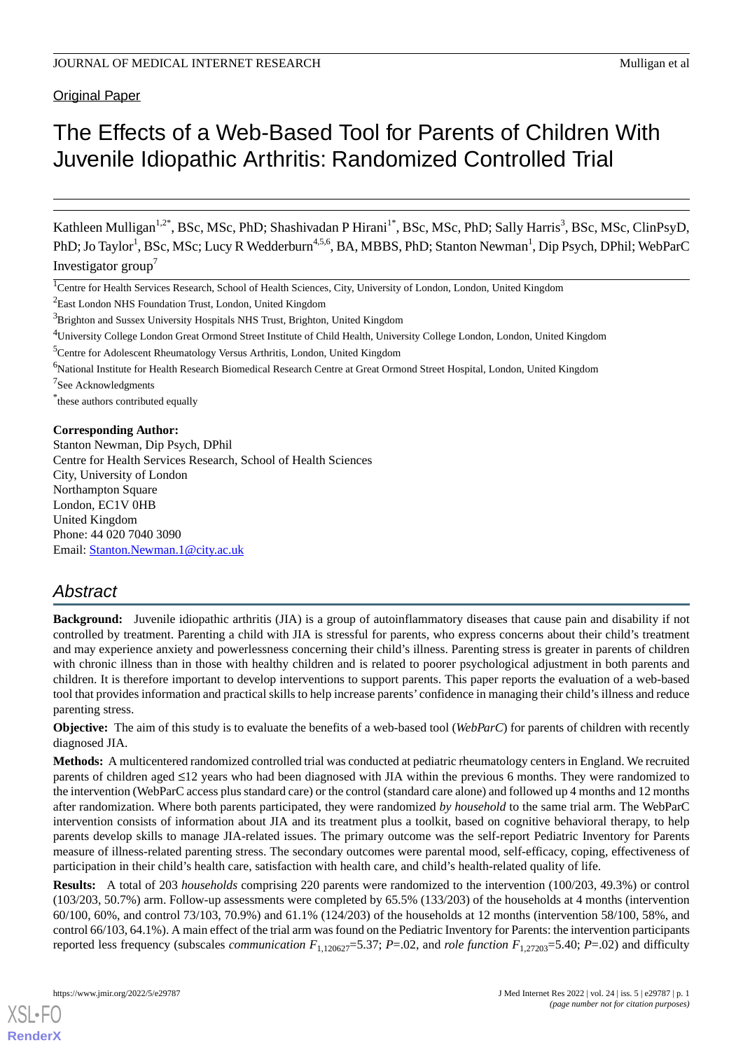Original Paper

# The Effects of a Web-Based Tool for Parents of Children With Juvenile Idiopathic Arthritis: Randomized Controlled Trial

Kathleen Mulligan<sup>1,2\*</sup>, BSc, MSc, PhD; Shashivadan P Hirani<sup>1\*</sup>, BSc, MSc, PhD; Sally Harris<sup>3</sup>, BSc, MSc, ClinPsyD, PhD; Jo Taylor<sup>1</sup>, BSc, MSc; Lucy R Wedderburn<sup>4,5,6</sup>, BA, MBBS, PhD; Stanton Newman<sup>1</sup>, Dip Psych, DPhil; WebParC Investigator group<sup>7</sup>

<sup>1</sup>Centre for Health Services Research, School of Health Sciences, City, University of London, London, United Kingdom

<sup>2</sup>East London NHS Foundation Trust, London, United Kingdom

<sup>4</sup>University College London Great Ormond Street Institute of Child Health, University College London, London, United Kingdom

<sup>6</sup>National Institute for Health Research Biomedical Research Centre at Great Ormond Street Hospital, London, United Kingdom

<sup>7</sup>See Acknowledgments

\* these authors contributed equally

#### **Corresponding Author:**

Stanton Newman, Dip Psych, DPhil Centre for Health Services Research, School of Health Sciences City, University of London Northampton Square London, EC1V 0HB United Kingdom Phone: 44 020 7040 3090 Email: [Stanton.Newman.1@city.ac.uk](mailto:Stanton.Newman.1@city.ac.uk)

### *Abstract*

**Background:** Juvenile idiopathic arthritis (JIA) is a group of autoinflammatory diseases that cause pain and disability if not controlled by treatment. Parenting a child with JIA is stressful for parents, who express concerns about their child's treatment and may experience anxiety and powerlessness concerning their child's illness. Parenting stress is greater in parents of children with chronic illness than in those with healthy children and is related to poorer psychological adjustment in both parents and children. It is therefore important to develop interventions to support parents. This paper reports the evaluation of a web-based tool that provides information and practical skills to help increase parents' confidence in managing their child's illness and reduce parenting stress.

**Objective:** The aim of this study is to evaluate the benefits of a web-based tool (*WebParC*) for parents of children with recently diagnosed JIA.

**Methods:** A multicentered randomized controlled trial was conducted at pediatric rheumatology centers in England. We recruited parents of children aged ≤12 years who had been diagnosed with JIA within the previous 6 months. They were randomized to the intervention (WebParC access plus standard care) or the control (standard care alone) and followed up 4 months and 12 months after randomization. Where both parents participated, they were randomized *by household* to the same trial arm. The WebParC intervention consists of information about JIA and its treatment plus a toolkit, based on cognitive behavioral therapy, to help parents develop skills to manage JIA-related issues. The primary outcome was the self-report Pediatric Inventory for Parents measure of illness-related parenting stress. The secondary outcomes were parental mood, self-efficacy, coping, effectiveness of participation in their child's health care, satisfaction with health care, and child's health-related quality of life.

**Results:** A total of 203 *households* comprising 220 parents were randomized to the intervention (100/203, 49.3%) or control (103/203, 50.7%) arm. Follow-up assessments were completed by 65.5% (133/203) of the households at 4 months (intervention 60/100, 60%, and control 73/103, 70.9%) and 61.1% (124/203) of the households at 12 months (intervention 58/100, 58%, and control 66/103, 64.1%). A main effect of the trial arm was found on the Pediatric Inventory for Parents: the intervention participants reported less frequency (subscales *communication*  $F_{1,120627}$ =5.37; *P*=.02, and *role function*  $F_{1,27203}$ =5.40; *P*=.02) and difficulty

<sup>&</sup>lt;sup>3</sup>Brighton and Sussex University Hospitals NHS Trust, Brighton, United Kingdom

<sup>&</sup>lt;sup>5</sup>Centre for Adolescent Rheumatology Versus Arthritis, London, United Kingdom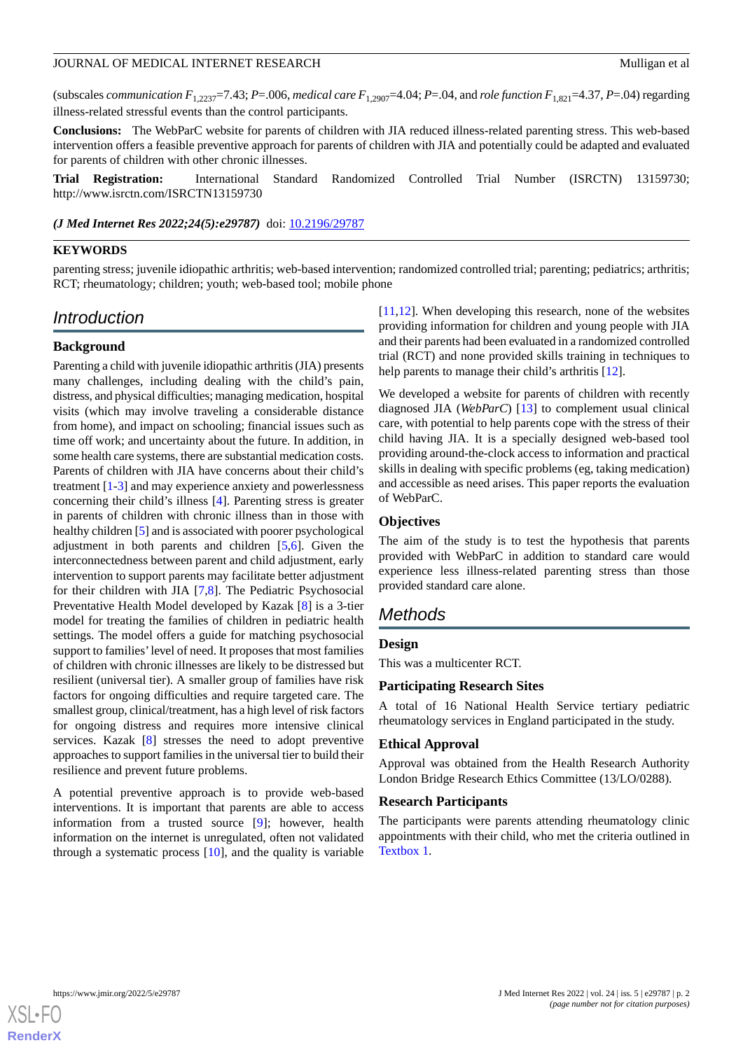(subscales *communication F*<sub>1,2237</sub>=7.43; *P*=.006, *medical care F*<sub>1,2907</sub>=4.04; *P*=.04, and *role function F*<sub>1,821</sub>=4.37, *P*=.04) regarding illness-related stressful events than the control participants.

**Conclusions:** The WebParC website for parents of children with JIA reduced illness-related parenting stress. This web-based intervention offers a feasible preventive approach for parents of children with JIA and potentially could be adapted and evaluated for parents of children with other chronic illnesses.

**Trial Registration:** International Standard Randomized Controlled Trial Number (ISRCTN) 13159730; http://www.isrctn.com/ISRCTN13159730

*(J Med Internet Res 2022;24(5):e29787)* doi: [10.2196/29787](http://dx.doi.org/10.2196/29787)

### **KEYWORDS**

parenting stress; juvenile idiopathic arthritis; web-based intervention; randomized controlled trial; parenting; pediatrics; arthritis; RCT; rheumatology; children; youth; web-based tool; mobile phone

### *Introduction*

### **Background**

Parenting a child with juvenile idiopathic arthritis (JIA) presents many challenges, including dealing with the child's pain, distress, and physical difficulties; managing medication, hospital visits (which may involve traveling a considerable distance from home), and impact on schooling; financial issues such as time off work; and uncertainty about the future. In addition, in some health care systems, there are substantial medication costs. Parents of children with JIA have concerns about their child's treatment [[1](#page-18-0)[-3](#page-18-1)] and may experience anxiety and powerlessness concerning their child's illness [\[4](#page-18-2)]. Parenting stress is greater in parents of children with chronic illness than in those with healthy children [\[5](#page-18-3)] and is associated with poorer psychological adjustment in both parents and children [[5,](#page-18-3)[6](#page-18-4)]. Given the interconnectedness between parent and child adjustment, early intervention to support parents may facilitate better adjustment for their children with JIA [\[7](#page-18-5),[8\]](#page-18-6). The Pediatric Psychosocial Preventative Health Model developed by Kazak [[8\]](#page-18-6) is a 3-tier model for treating the families of children in pediatric health settings. The model offers a guide for matching psychosocial support to families' level of need. It proposes that most families of children with chronic illnesses are likely to be distressed but resilient (universal tier). A smaller group of families have risk factors for ongoing difficulties and require targeted care. The smallest group, clinical/treatment, has a high level of risk factors for ongoing distress and requires more intensive clinical services. Kazak [\[8](#page-18-6)] stresses the need to adopt preventive approaches to support families in the universal tier to build their resilience and prevent future problems.

A potential preventive approach is to provide web-based interventions. It is important that parents are able to access information from a trusted source [[9\]](#page-19-0); however, health information on the internet is unregulated, often not validated through a systematic process [[10\]](#page-19-1), and the quality is variable

[[11,](#page-19-2)[12\]](#page-19-3). When developing this research, none of the websites providing information for children and young people with JIA and their parents had been evaluated in a randomized controlled trial (RCT) and none provided skills training in techniques to help parents to manage their child's arthritis [[12\]](#page-19-3).

We developed a website for parents of children with recently diagnosed JIA (*WebParC*) [\[13](#page-19-4)] to complement usual clinical care, with potential to help parents cope with the stress of their child having JIA. It is a specially designed web-based tool providing around-the-clock access to information and practical skills in dealing with specific problems (eg, taking medication) and accessible as need arises. This paper reports the evaluation of WebParC.

#### **Objectives**

The aim of the study is to test the hypothesis that parents provided with WebParC in addition to standard care would experience less illness-related parenting stress than those provided standard care alone.

### *Methods*

#### **Design**

This was a multicenter RCT.

#### **Participating Research Sites**

A total of 16 National Health Service tertiary pediatric rheumatology services in England participated in the study.

### **Ethical Approval**

Approval was obtained from the Health Research Authority London Bridge Research Ethics Committee (13/LO/0288).

#### **Research Participants**

The participants were parents attending rheumatology clinic appointments with their child, who met the criteria outlined in [Textbox 1.](#page-2-0)

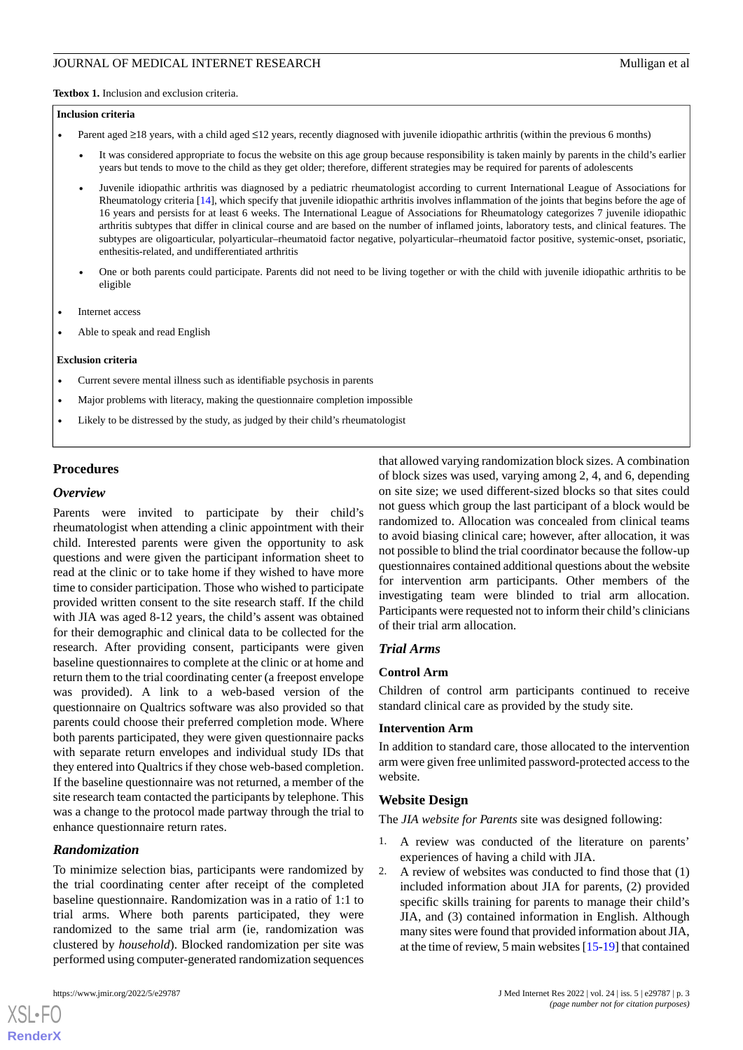<span id="page-2-0"></span>**Textbox 1.** Inclusion and exclusion criteria.

#### **Inclusion criteria**

- Parent aged ≥18 years, with a child aged ≤12 years, recently diagnosed with juvenile idiopathic arthritis (within the previous 6 months)
	- It was considered appropriate to focus the website on this age group because responsibility is taken mainly by parents in the child's earlier years but tends to move to the child as they get older; therefore, different strategies may be required for parents of adolescents
	- Juvenile idiopathic arthritis was diagnosed by a pediatric rheumatologist according to current International League of Associations for Rheumatology criteria [\[14\]](#page-19-5), which specify that juvenile idiopathic arthritis involves inflammation of the joints that begins before the age of 16 years and persists for at least 6 weeks. The International League of Associations for Rheumatology categorizes 7 juvenile idiopathic arthritis subtypes that differ in clinical course and are based on the number of inflamed joints, laboratory tests, and clinical features. The subtypes are oligoarticular, polyarticular–rheumatoid factor negative, polyarticular–rheumatoid factor positive, systemic-onset, psoriatic, enthesitis-related, and undifferentiated arthritis
	- One or both parents could participate. Parents did not need to be living together or with the child with juvenile idiopathic arthritis to be eligible
- Internet access
- Able to speak and read English

#### **Exclusion criteria**

- Current severe mental illness such as identifiable psychosis in parents
- Major problems with literacy, making the questionnaire completion impossible
- Likely to be distressed by the study, as judged by their child's rheumatologist

### **Procedures**

#### *Overview*

Parents were invited to participate by their child's rheumatologist when attending a clinic appointment with their child. Interested parents were given the opportunity to ask questions and were given the participant information sheet to read at the clinic or to take home if they wished to have more time to consider participation. Those who wished to participate provided written consent to the site research staff. If the child with JIA was aged 8-12 years, the child's assent was obtained for their demographic and clinical data to be collected for the research. After providing consent, participants were given baseline questionnaires to complete at the clinic or at home and return them to the trial coordinating center (a freepost envelope was provided). A link to a web-based version of the questionnaire on Qualtrics software was also provided so that parents could choose their preferred completion mode. Where both parents participated, they were given questionnaire packs with separate return envelopes and individual study IDs that they entered into Qualtrics if they chose web-based completion. If the baseline questionnaire was not returned, a member of the site research team contacted the participants by telephone. This was a change to the protocol made partway through the trial to enhance questionnaire return rates.

### *Randomization*

To minimize selection bias, participants were randomized by the trial coordinating center after receipt of the completed baseline questionnaire. Randomization was in a ratio of 1:1 to trial arms. Where both parents participated, they were randomized to the same trial arm (ie, randomization was clustered by *household*). Blocked randomization per site was performed using computer-generated randomization sequences

[XSL](http://www.w3.org/Style/XSL)•FO **[RenderX](http://www.renderx.com/)**

that allowed varying randomization block sizes. A combination of block sizes was used, varying among 2, 4, and 6, depending on site size; we used different-sized blocks so that sites could not guess which group the last participant of a block would be randomized to. Allocation was concealed from clinical teams to avoid biasing clinical care; however, after allocation, it was not possible to blind the trial coordinator because the follow-up questionnaires contained additional questions about the website for intervention arm participants. Other members of the investigating team were blinded to trial arm allocation. Participants were requested not to inform their child's clinicians of their trial arm allocation.

### *Trial Arms*

#### **Control Arm**

Children of control arm participants continued to receive standard clinical care as provided by the study site.

#### **Intervention Arm**

In addition to standard care, those allocated to the intervention arm were given free unlimited password-protected access to the website.

### **Website Design**

The *JIA website for Parents* site was designed following:

- 1. A review was conducted of the literature on parents' experiences of having a child with JIA.
- 2. A review of websites was conducted to find those that (1) included information about JIA for parents, (2) provided specific skills training for parents to manage their child's JIA, and (3) contained information in English. Although many sites were found that provided information about JIA, at the time of review, 5 main websites [\[15](#page-19-6)[-19\]](#page-19-7) that contained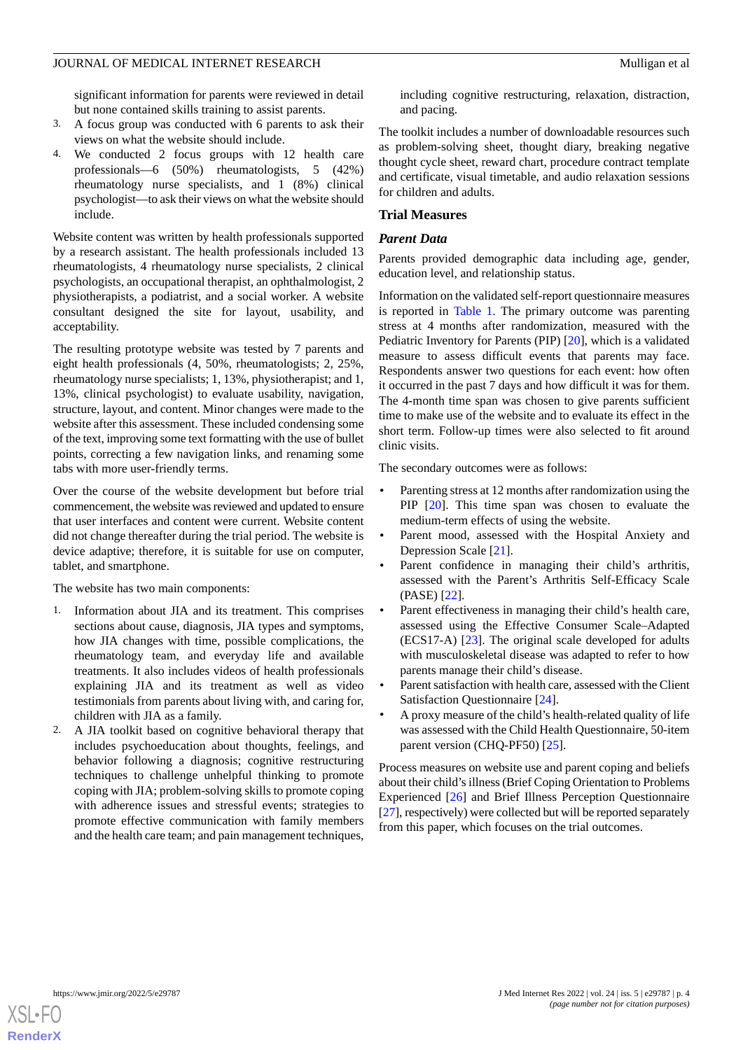significant information for parents were reviewed in detail but none contained skills training to assist parents.

- 3. A focus group was conducted with 6 parents to ask their views on what the website should include.
- 4. We conducted 2 focus groups with 12 health care professionals—6 (50%) rheumatologists, 5 (42%) rheumatology nurse specialists, and 1 (8%) clinical psychologist—to ask their views on what the website should include.

Website content was written by health professionals supported by a research assistant. The health professionals included 13 rheumatologists, 4 rheumatology nurse specialists, 2 clinical psychologists, an occupational therapist, an ophthalmologist, 2 physiotherapists, a podiatrist, and a social worker. A website consultant designed the site for layout, usability, and acceptability.

The resulting prototype website was tested by 7 parents and eight health professionals (4, 50%, rheumatologists; 2, 25%, rheumatology nurse specialists; 1, 13%, physiotherapist; and 1, 13%, clinical psychologist) to evaluate usability, navigation, structure, layout, and content. Minor changes were made to the website after this assessment. These included condensing some of the text, improving some text formatting with the use of bullet points, correcting a few navigation links, and renaming some tabs with more user-friendly terms.

Over the course of the website development but before trial commencement, the website was reviewed and updated to ensure that user interfaces and content were current. Website content did not change thereafter during the trial period. The website is device adaptive; therefore, it is suitable for use on computer, tablet, and smartphone.

The website has two main components:

- 1. Information about JIA and its treatment. This comprises sections about cause, diagnosis, JIA types and symptoms, how JIA changes with time, possible complications, the rheumatology team, and everyday life and available treatments. It also includes videos of health professionals explaining JIA and its treatment as well as video testimonials from parents about living with, and caring for, children with JIA as a family.
- 2. A JIA toolkit based on cognitive behavioral therapy that includes psychoeducation about thoughts, feelings, and behavior following a diagnosis; cognitive restructuring techniques to challenge unhelpful thinking to promote coping with JIA; problem-solving skills to promote coping with adherence issues and stressful events; strategies to promote effective communication with family members and the health care team; and pain management techniques,

including cognitive restructuring, relaxation, distraction, and pacing.

The toolkit includes a number of downloadable resources such as problem-solving sheet, thought diary, breaking negative thought cycle sheet, reward chart, procedure contract template and certificate, visual timetable, and audio relaxation sessions for children and adults.

### **Trial Measures**

### *Parent Data*

Parents provided demographic data including age, gender, education level, and relationship status.

Information on the validated self-report questionnaire measures is reported in [Table 1.](#page-4-0) The primary outcome was parenting stress at 4 months after randomization, measured with the Pediatric Inventory for Parents (PIP) [\[20](#page-19-8)], which is a validated measure to assess difficult events that parents may face. Respondents answer two questions for each event: how often it occurred in the past 7 days and how difficult it was for them. The 4-month time span was chosen to give parents sufficient time to make use of the website and to evaluate its effect in the short term. Follow-up times were also selected to fit around clinic visits.

The secondary outcomes were as follows:

- Parenting stress at 12 months after randomization using the PIP [[20\]](#page-19-8). This time span was chosen to evaluate the medium-term effects of using the website.
- Parent mood, assessed with the Hospital Anxiety and Depression Scale [[21\]](#page-19-9).
- Parent confidence in managing their child's arthritis, assessed with the Parent's Arthritis Self-Efficacy Scale (PASE) [[22\]](#page-19-10).
- Parent effectiveness in managing their child's health care, assessed using the Effective Consumer Scale–Adapted (ECS17-A) [\[23](#page-19-11)]. The original scale developed for adults with musculoskeletal disease was adapted to refer to how parents manage their child's disease.
- Parent satisfaction with health care, assessed with the Client Satisfaction Questionnaire [\[24](#page-19-12)].
- A proxy measure of the child's health-related quality of life was assessed with the Child Health Questionnaire, 50-item parent version (CHQ-PF50) [[25\]](#page-19-13).

Process measures on website use and parent coping and beliefs about their child's illness (Brief Coping Orientation to Problems Experienced [[26\]](#page-19-14) and Brief Illness Perception Questionnaire [[27\]](#page-19-15), respectively) were collected but will be reported separately from this paper, which focuses on the trial outcomes.

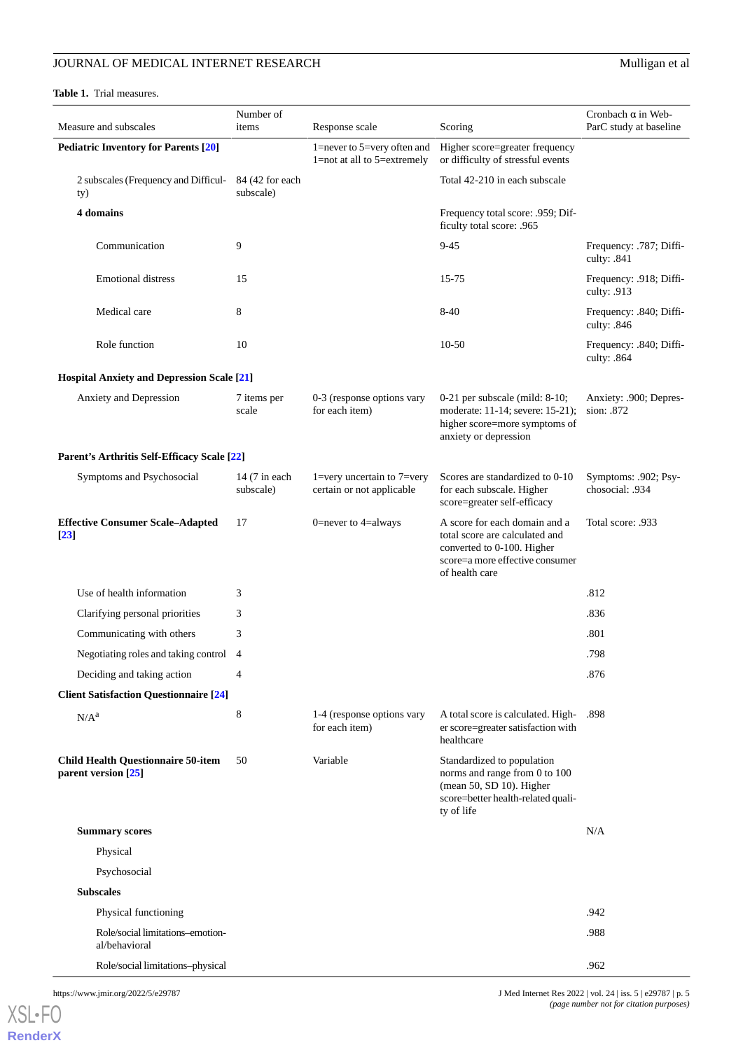#### <span id="page-4-0"></span>**Table 1.** Trial measures.

| Measure and subscales                                            | Number of<br>items           | Response scale                                                               | Scoring                                                                                                                                            | Cronbach $\alpha$ in Web-<br>ParC study at baseline |
|------------------------------------------------------------------|------------------------------|------------------------------------------------------------------------------|----------------------------------------------------------------------------------------------------------------------------------------------------|-----------------------------------------------------|
| <b>Pediatric Inventory for Parents [20]</b>                      |                              | 1=never to 5=very often and<br>1=not at all to 5=extremely                   | Higher score=greater frequency<br>or difficulty of stressful events                                                                                |                                                     |
| 2 subscales (Frequency and Difficul-<br>ty)                      | 84 (42 for each<br>subscale) |                                                                              | Total 42-210 in each subscale                                                                                                                      |                                                     |
| 4 domains                                                        |                              |                                                                              | Frequency total score: .959; Dif-<br>ficulty total score: .965                                                                                     |                                                     |
| Communication                                                    | 9                            |                                                                              | $9 - 45$                                                                                                                                           | Frequency: .787; Diffi-<br>culty: .841              |
| <b>Emotional distress</b>                                        | 15                           |                                                                              | 15-75                                                                                                                                              | Frequency: .918; Diffi-<br>culty: .913              |
| Medical care                                                     | 8                            |                                                                              | 8-40                                                                                                                                               | Frequency: .840; Diffi-<br>culty: .846              |
| Role function                                                    | 10                           |                                                                              | 10-50                                                                                                                                              | Frequency: .840; Diffi-<br>culty: .864              |
| <b>Hospital Anxiety and Depression Scale [21]</b>                |                              |                                                                              |                                                                                                                                                    |                                                     |
| Anxiety and Depression                                           | 7 items per<br>scale         | 0-3 (response options vary<br>for each item)                                 | $0-21$ per subscale (mild: 8-10;<br>moderate: 11-14; severe: 15-21);<br>higher score=more symptoms of<br>anxiety or depression                     | Anxiety: .900; Depres-<br>sion: .872                |
| Parent's Arthritis Self-Efficacy Scale [22]                      |                              |                                                                              |                                                                                                                                                    |                                                     |
| Symptoms and Psychosocial                                        | 14 (7 in each<br>subscale)   | $1 = \text{very uncertain to } 7 = \text{very}$<br>certain or not applicable | Scores are standardized to 0-10<br>for each subscale. Higher<br>score=greater self-efficacy                                                        | Symptoms: .902; Psy-<br>chosocial: .934             |
| <b>Effective Consumer Scale-Adapted</b><br>$[23]$                | 17                           | 0=never to 4=always                                                          | A score for each domain and a<br>total score are calculated and<br>converted to 0-100. Higher<br>score=a more effective consumer<br>of health care | Total score: .933                                   |
| Use of health information                                        | 3                            |                                                                              |                                                                                                                                                    | .812                                                |
| Clarifying personal priorities                                   | 3                            |                                                                              |                                                                                                                                                    | .836                                                |
| Communicating with others                                        | 3                            |                                                                              |                                                                                                                                                    | .801                                                |
| Negotiating roles and taking control                             | $\overline{4}$               |                                                                              |                                                                                                                                                    | .798                                                |
| Deciding and taking action                                       | 4                            |                                                                              |                                                                                                                                                    | .876                                                |
| <b>Client Satisfaction Questionnaire [24]</b>                    |                              |                                                                              |                                                                                                                                                    |                                                     |
| $N/A^a$                                                          | 8                            | 1-4 (response options vary<br>for each item)                                 | A total score is calculated. High-<br>er score=greater satisfaction with<br>healthcare                                                             | .898                                                |
| <b>Child Health Questionnaire 50-item</b><br>parent version [25] | 50                           | Variable                                                                     | Standardized to population<br>norms and range from 0 to 100<br>(mean 50, SD 10). Higher<br>score=better health-related quali-<br>ty of life        |                                                     |
| <b>Summary scores</b>                                            |                              |                                                                              |                                                                                                                                                    | N/A                                                 |
| Physical                                                         |                              |                                                                              |                                                                                                                                                    |                                                     |
| Psychosocial                                                     |                              |                                                                              |                                                                                                                                                    |                                                     |
| <b>Subscales</b>                                                 |                              |                                                                              |                                                                                                                                                    |                                                     |
| Physical functioning                                             |                              |                                                                              |                                                                                                                                                    | .942                                                |
| Role/social limitations-emotion-<br>al/behavioral                |                              |                                                                              |                                                                                                                                                    | .988                                                |
| Role/social limitations-physical                                 |                              |                                                                              |                                                                                                                                                    | .962                                                |

[XSL](http://www.w3.org/Style/XSL)•FO **[RenderX](http://www.renderx.com/)**

https://www.jmir.org/2022/5/e29787 J Med Internet Res 2022 | vol. 24 | iss. 5 | e29787 | p. 5 *(page number not for citation purposes)*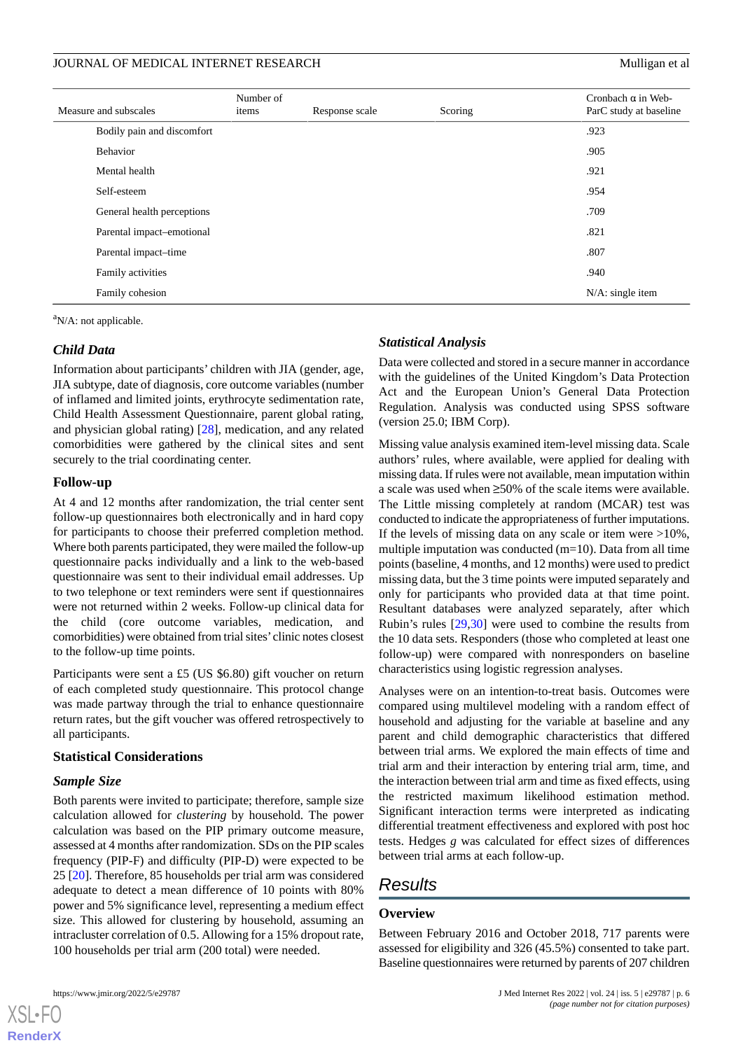| Measure and subscales      | Number of<br>items | Response scale | Scoring | Cronbach $\alpha$ in Web-<br>ParC study at baseline |
|----------------------------|--------------------|----------------|---------|-----------------------------------------------------|
| Bodily pain and discomfort |                    |                |         | .923                                                |
| <b>Behavior</b>            |                    |                |         | .905                                                |
| Mental health              |                    |                |         | .921                                                |
| Self-esteem                |                    |                |         | .954                                                |
| General health perceptions |                    |                |         | .709                                                |
| Parental impact-emotional  |                    |                |         | .821                                                |
| Parental impact-time       |                    |                |         | .807                                                |
| Family activities          |                    |                |         | .940                                                |
| Family cohesion            |                    |                |         | $N/A$ : single item                                 |

 $\rm ^{a}N/A$ : not applicable.

### *Child Data*

Information about participants' children with JIA (gender, age, JIA subtype, date of diagnosis, core outcome variables (number of inflamed and limited joints, erythrocyte sedimentation rate, Child Health Assessment Questionnaire, parent global rating, and physician global rating) [[28\]](#page-19-16), medication, and any related comorbidities were gathered by the clinical sites and sent securely to the trial coordinating center.

### **Follow-up**

At 4 and 12 months after randomization, the trial center sent follow-up questionnaires both electronically and in hard copy for participants to choose their preferred completion method. Where both parents participated, they were mailed the follow-up questionnaire packs individually and a link to the web-based questionnaire was sent to their individual email addresses. Up to two telephone or text reminders were sent if questionnaires were not returned within 2 weeks. Follow-up clinical data for the child (core outcome variables, medication, and comorbidities) were obtained from trial sites' clinic notes closest to the follow-up time points.

Participants were sent a £5 (US \$6.80) gift voucher on return of each completed study questionnaire. This protocol change was made partway through the trial to enhance questionnaire return rates, but the gift voucher was offered retrospectively to all participants.

### **Statistical Considerations**

### *Sample Size*

Both parents were invited to participate; therefore, sample size calculation allowed for *clustering* by household. The power calculation was based on the PIP primary outcome measure, assessed at 4 months after randomization. SDs on the PIP scales frequency (PIP-F) and difficulty (PIP-D) were expected to be 25 [\[20](#page-19-8)]. Therefore, 85 households per trial arm was considered adequate to detect a mean difference of 10 points with 80% power and 5% significance level, representing a medium effect size. This allowed for clustering by household, assuming an intracluster correlation of 0.5. Allowing for a 15% dropout rate, 100 households per trial arm (200 total) were needed.

### *Statistical Analysis*

Data were collected and stored in a secure manner in accordance with the guidelines of the United Kingdom's Data Protection Act and the European Union's General Data Protection Regulation. Analysis was conducted using SPSS software (version 25.0; IBM Corp).

Missing value analysis examined item-level missing data. Scale authors' rules, where available, were applied for dealing with missing data. If rules were not available, mean imputation within a scale was used when ≥50% of the scale items were available. The Little missing completely at random (MCAR) test was conducted to indicate the appropriateness of further imputations. If the levels of missing data on any scale or item were >10%, multiple imputation was conducted (m=10). Data from all time points (baseline, 4 months, and 12 months) were used to predict missing data, but the 3 time points were imputed separately and only for participants who provided data at that time point. Resultant databases were analyzed separately, after which Rubin's rules [[29,](#page-19-17)[30](#page-19-18)] were used to combine the results from the 10 data sets. Responders (those who completed at least one follow-up) were compared with nonresponders on baseline characteristics using logistic regression analyses.

Analyses were on an intention-to-treat basis. Outcomes were compared using multilevel modeling with a random effect of household and adjusting for the variable at baseline and any parent and child demographic characteristics that differed between trial arms. We explored the main effects of time and trial arm and their interaction by entering trial arm, time, and the interaction between trial arm and time as fixed effects, using the restricted maximum likelihood estimation method. Significant interaction terms were interpreted as indicating differential treatment effectiveness and explored with post hoc tests. Hedges *g* was calculated for effect sizes of differences between trial arms at each follow-up.

## *Results*

### **Overview**

Between February 2016 and October 2018, 717 parents were assessed for eligibility and 326 (45.5%) consented to take part. Baseline questionnaires were returned by parents of 207 children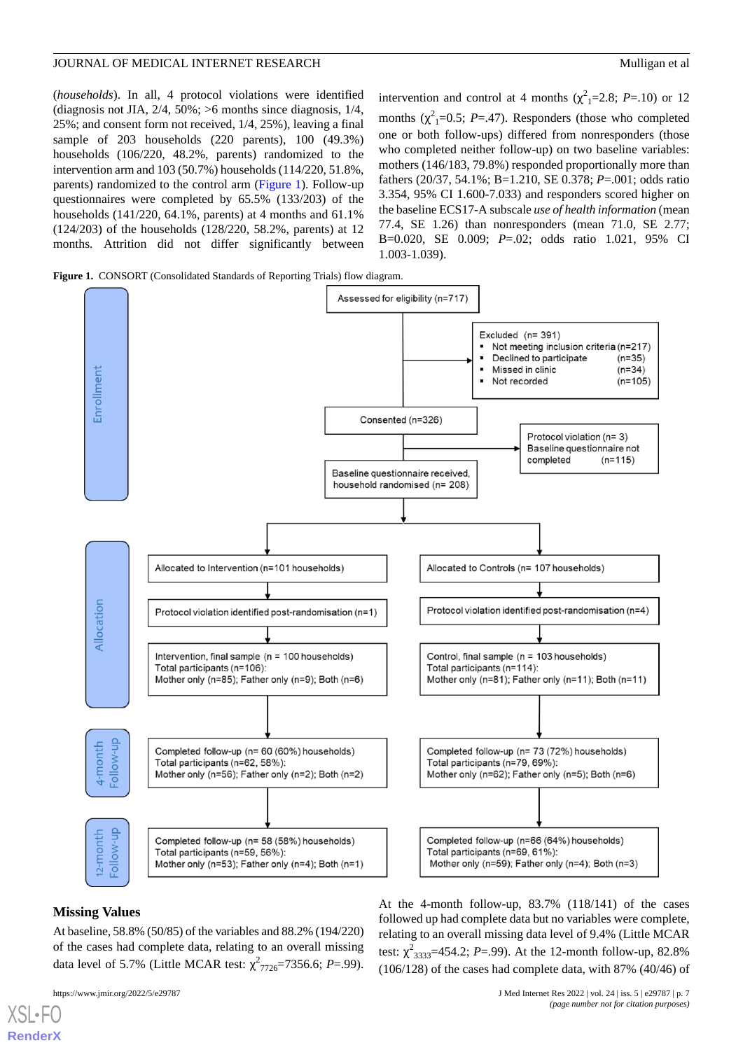(*households*). In all, 4 protocol violations were identified (diagnosis not JIA, 2/4, 50%; >6 months since diagnosis, 1/4, 25%; and consent form not received, 1/4, 25%), leaving a final sample of 203 households (220 parents), 100 (49.3%) households (106/220, 48.2%, parents) randomized to the intervention arm and 103 (50.7%) households (114/220, 51.8%, parents) randomized to the control arm [\(Figure 1\)](#page-6-0). Follow-up questionnaires were completed by 65.5% (133/203) of the households (141/220, 64.1%, parents) at 4 months and 61.1% (124/203) of the households (128/220, 58.2%, parents) at 12 months. Attrition did not differ significantly between

intervention and control at 4 months  $(\chi^2_{1} = 2.8; P = .10)$  or 12 months  $(\chi^2_{1}=0.5; P=.47)$ . Responders (those who completed one or both follow-ups) differed from nonresponders (those who completed neither follow-up) on two baseline variables: mothers (146/183, 79.8%) responded proportionally more than fathers (20/37, 54.1%; B=1.210, SE 0.378; *P*=.001; odds ratio 3.354, 95% CI 1.600-7.033) and responders scored higher on the baseline ECS17-A subscale *use of health information* (mean 77.4, SE 1.26) than nonresponders (mean 71.0, SE 2.77; B=0.020, SE 0.009; *P*=.02; odds ratio 1.021, 95% CI 1.003-1.039).

<span id="page-6-0"></span>



### **Missing Values**

[XSL](http://www.w3.org/Style/XSL)•FO **[RenderX](http://www.renderx.com/)**

At baseline, 58.8% (50/85) of the variables and 88.2% (194/220) of the cases had complete data, relating to an overall missing data level of 5.7% (Little MCAR test:  $\chi^2_{7726}$ =7356.6; *P*=.99).

At the 4-month follow-up, 83.7% (118/141) of the cases followed up had complete data but no variables were complete, relating to an overall missing data level of 9.4% (Little MCAR test:  $\chi^2_{3333}$ =454.2; *P*=.99). At the 12-month follow-up, 82.8% (106/128) of the cases had complete data, with 87% (40/46) of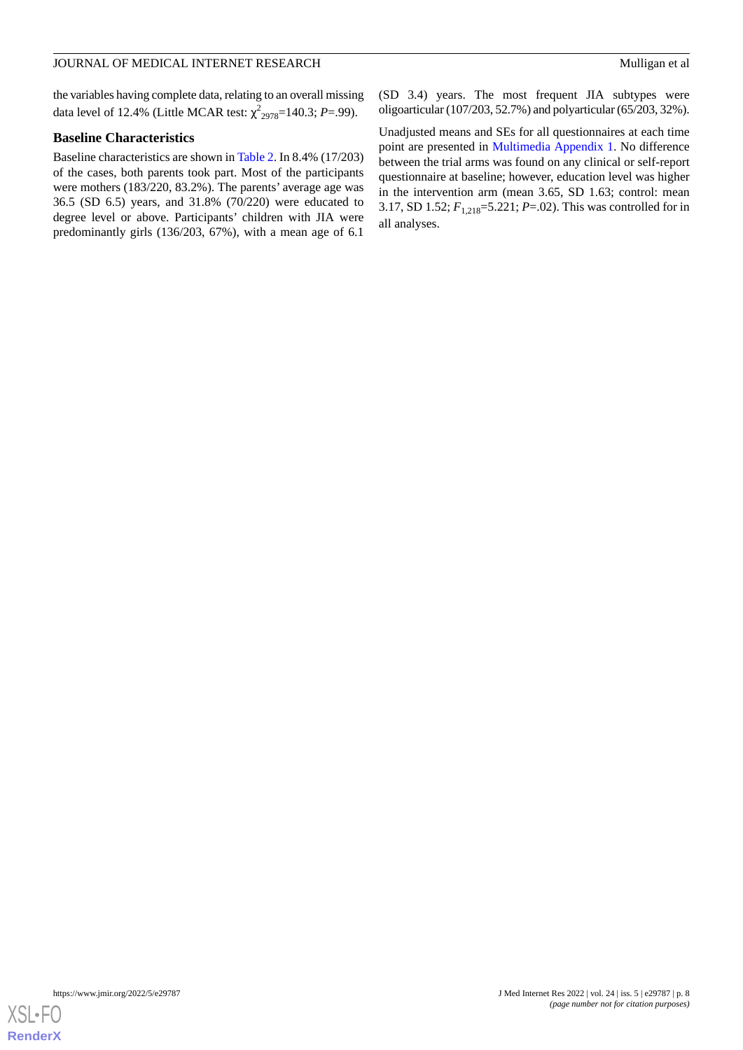the variables having complete data, relating to an overall missing data level of 12.4% (Little MCAR test: χ 2 <sup>2978</sup>=140.3; *P*=.99).

### **Baseline Characteristics**

Baseline characteristics are shown in [Table 2](#page-8-0). In 8.4% (17/203) of the cases, both parents took part. Most of the participants were mothers (183/220, 83.2%). The parents' average age was 36.5 (SD 6.5) years, and 31.8% (70/220) were educated to degree level or above. Participants' children with JIA were predominantly girls (136/203, 67%), with a mean age of 6.1

(SD 3.4) years. The most frequent JIA subtypes were oligoarticular (107/203, 52.7%) and polyarticular (65/203, 32%).

Unadjusted means and SEs for all questionnaires at each time point are presented in [Multimedia Appendix 1.](#page-18-7) No difference between the trial arms was found on any clinical or self-report questionnaire at baseline; however, education level was higher in the intervention arm (mean 3.65, SD 1.63; control: mean 3.17, SD 1.52; *F*1,218=5.221; *P*=.02). This was controlled for in all analyses.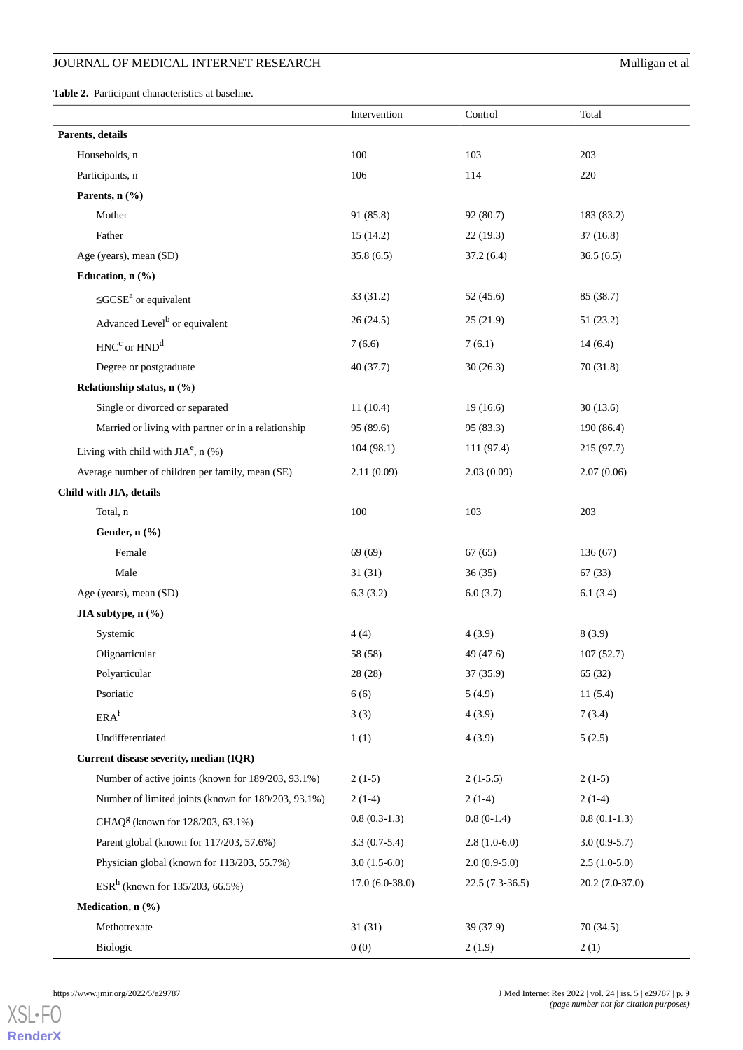<span id="page-8-0"></span>**Table 2.** Participant characteristics at baseline.

|                                                     | Intervention     | Control          | Total            |
|-----------------------------------------------------|------------------|------------------|------------------|
| Parents, details                                    |                  |                  |                  |
| Households, n                                       | 100              | 103              | 203              |
| Participants, n                                     | 106              | 114              | 220              |
| Parents, n (%)                                      |                  |                  |                  |
| Mother                                              | 91 (85.8)        | 92 (80.7)        | 183 (83.2)       |
| Father                                              | 15(14.2)         | 22(19.3)         | 37(16.8)         |
| Age (years), mean (SD)                              | 35.8(6.5)        | 37.2(6.4)        | 36.5(6.5)        |
| Education, n (%)                                    |                  |                  |                  |
| $\leq GCSE^a$ or equivalent                         | 33(31.2)         | 52 (45.6)        | 85 (38.7)        |
| Advanced Level <sup>b</sup> or equivalent           | 26(24.5)         | 25(21.9)         | 51 (23.2)        |
| $HNC^{c}$ or $HND^{d}$                              | 7(6.6)           | 7(6.1)           | 14(6.4)          |
| Degree or postgraduate                              | 40(37.7)         | 30(26.3)         | 70 (31.8)        |
| Relationship status, n (%)                          |                  |                  |                  |
| Single or divorced or separated                     | 11(10.4)         | 19(16.6)         | 30(13.6)         |
| Married or living with partner or in a relationship | 95(89.6)         | 95 (83.3)        | 190 (86.4)       |
| Living with child with $JIAe$ , n (%)               | 104(98.1)        | 111(97.4)        | 215(97.7)        |
| Average number of children per family, mean (SE)    | 2.11(0.09)       | 2.03(0.09)       | 2.07(0.06)       |
| Child with JIA, details                             |                  |                  |                  |
| Total, n                                            | 100              | 103              | 203              |
| Gender, n (%)                                       |                  |                  |                  |
| Female                                              | 69(69)           | 67(65)           | 136(67)          |
| Male                                                | 31(31)           | 36(35)           | 67(33)           |
| Age (years), mean (SD)                              | 6.3(3.2)         | 6.0(3.7)         | 6.1(3.4)         |
| JIA subtype, n (%)                                  |                  |                  |                  |
| Systemic                                            | 4(4)             | 4(3.9)           | 8(3.9)           |
| Oligoarticular                                      | 58 (58)          | 49 (47.6)        | 107(52.7)        |
| Polyarticular                                       | 28 (28)          | 37 (35.9)        | 65 (32)          |
| Psoriatic                                           | 6(6)             | 5(4.9)           | 11(5.4)          |
| ERA <sup>f</sup>                                    | 3(3)             | 4(3.9)           | 7(3.4)           |
| Undifferentiated                                    | 1(1)             | 4(3.9)           | 5(2.5)           |
| Current disease severity, median (IQR)              |                  |                  |                  |
| Number of active joints (known for 189/203, 93.1%)  | $2(1-5)$         | $2(1-5.5)$       | $2(1-5)$         |
| Number of limited joints (known for 189/203, 93.1%) | $2(1-4)$         | $2(1-4)$         | $2(1-4)$         |
| CHAQ <sup>g</sup> (known for 128/203, 63.1%)        | $0.8(0.3-1.3)$   | $0.8(0-1.4)$     | $0.8(0.1-1.3)$   |
| Parent global (known for 117/203, 57.6%)            | $3.3(0.7-5.4)$   | $2.8(1.0-6.0)$   | $3.0(0.9-5.7)$   |
| Physician global (known for 113/203, 55.7%)         | $3.0(1.5-6.0)$   | $2.0(0.9-5.0)$   | $2.5(1.0-5.0)$   |
| $ESRh$ (known for 135/203, 66.5%)                   | $17.0(6.0-38.0)$ | $22.5(7.3-36.5)$ | $20.2(7.0-37.0)$ |
| Medication, n (%)                                   |                  |                  |                  |
| Methotrexate                                        | 31(31)           | 39 (37.9)        | 70(34.5)         |
| Biologic                                            | 0(0)             | 2(1.9)           | 2(1)             |

[XSL](http://www.w3.org/Style/XSL)•FO **[RenderX](http://www.renderx.com/)**

https://www.jmir.org/2022/5/e29787 J Med Internet Res 2022 | vol. 24 | iss. 5 | e29787 | p. 9 *(page number not for citation purposes)*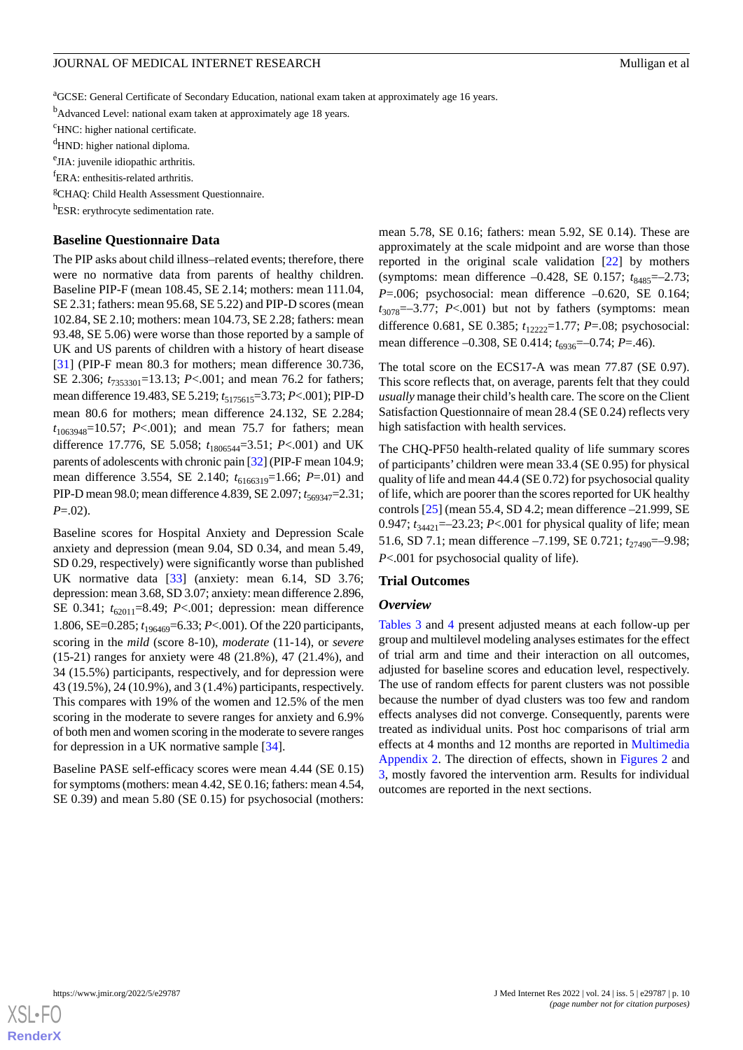<sup>a</sup>GCSE: General Certificate of Secondary Education, national exam taken at approximately age 16 years.

<sup>b</sup>Advanced Level: national exam taken at approximately age 18 years.

<sup>c</sup>HNC: higher national certificate.

<sup>d</sup>HND: higher national diploma.

<sup>e</sup>JIA: juvenile idiopathic arthritis.

<sup>f</sup>ERA: enthesitis-related arthritis.

<sup>g</sup>CHAQ: Child Health Assessment Questionnaire.

h<sub>ESR:</sub> erythrocyte sedimentation rate.

### **Baseline Questionnaire Data**

The PIP asks about child illness–related events; therefore, there were no normative data from parents of healthy children. Baseline PIP-F (mean 108.45, SE 2.14; mothers: mean 111.04, SE 2.31; fathers: mean 95.68, SE 5.22) and PIP-D scores (mean 102.84, SE 2.10; mothers: mean 104.73, SE 2.28; fathers: mean 93.48, SE 5.06) were worse than those reported by a sample of UK and US parents of children with a history of heart disease [[31\]](#page-19-19) (PIP-F mean 80.3 for mothers; mean difference 30.736, SE 2.306;  $t_{7353301}$ =13.13; *P*<.001; and mean 76.2 for fathers; mean difference 19.483, SE 5.219;  $t_{5175615} = 3.73$ ; *P*<.001); PIP-D mean 80.6 for mothers; mean difference 24.132, SE 2.284; *t*1063948=10.57; *P*<.001); and mean 75.7 for fathers; mean difference 17.776, SE 5.058;  $t_{1806544} = 3.51$ ; *P*<.001) and UK parents of adolescents with chronic pain [\[32\]](#page-19-20) (PIP-F mean 104.9; mean difference 3.554, SE 2.140;  $t_{6166319}$ =1.66; *P*=.01) and PIP-D mean 98.0; mean difference 4.839, SE 2.097;  $t_{569347}$ =2.31; *P*=.02).

Baseline scores for Hospital Anxiety and Depression Scale anxiety and depression (mean 9.04, SD 0.34, and mean 5.49, SD 0.29, respectively) were significantly worse than published UK normative data [\[33](#page-19-21)] (anxiety: mean 6.14, SD 3.76; depression: mean 3.68, SD 3.07; anxiety: mean difference 2.896, SE 0.341;  $t_{62011} = 8.49$ ; *P*<.001; depression: mean difference 1.806, SE=0.285; *t*196469=6.33; *P*<.001). Of the 220 participants, scoring in the *mild* (score 8-10), *moderate* (11-14), or *severe* (15-21) ranges for anxiety were 48 (21.8%), 47 (21.4%), and 34 (15.5%) participants, respectively, and for depression were 43 (19.5%), 24 (10.9%), and 3 (1.4%) participants, respectively. This compares with 19% of the women and 12.5% of the men scoring in the moderate to severe ranges for anxiety and 6.9% of both men and women scoring in the moderate to severe ranges for depression in a UK normative sample [[34\]](#page-19-22).

Baseline PASE self-efficacy scores were mean 4.44 (SE 0.15) for symptoms (mothers: mean 4.42, SE 0.16; fathers: mean 4.54, SE 0.39) and mean 5.80 (SE 0.15) for psychosocial (mothers: mean 5.78, SE 0.16; fathers: mean 5.92, SE 0.14). These are approximately at the scale midpoint and are worse than those reported in the original scale validation [[22\]](#page-19-10) by mothers (symptoms: mean difference –0.428, SE 0.157;  $t_{8485}$ =–2.73; *P*=.006; psychosocial: mean difference –0.620, SE 0.164;  $t_{3078}$ =-3.77;  $P < .001$ ) but not by fathers (symptoms: mean difference 0.681, SE 0.385;  $t_{12222}$ =1.77; *P*=.08; psychosocial: mean difference –0.308, SE 0.414;  $t_{6936}$ =–0.74; *P*=.46).

The total score on the ECS17-A was mean 77.87 (SE 0.97). This score reflects that, on average, parents felt that they could *usually* manage their child's health care. The score on the Client Satisfaction Questionnaire of mean 28.4 (SE 0.24) reflects very high satisfaction with health services.

The CHQ-PF50 health-related quality of life summary scores of participants' children were mean 33.4 (SE 0.95) for physical quality of life and mean 44.4 (SE 0.72) for psychosocial quality of life, which are poorer than the scores reported for UK healthy controls [\[25](#page-19-13)] (mean 55.4, SD 4.2; mean difference –21.999, SE 0.947;  $t_{34421}$ =-23.23; *P*<.001 for physical quality of life; mean 51.6, SD 7.1; mean difference -7.199, SE 0.721; *t*<sub>27490</sub>=-9.98; *P*<.001 for psychosocial quality of life).

#### **Trial Outcomes**

#### *Overview*

[Tables 3](#page-10-0) and [4](#page-12-0) present adjusted means at each follow-up per group and multilevel modeling analyses estimates for the effect of trial arm and time and their interaction on all outcomes, adjusted for baseline scores and education level, respectively. The use of random effects for parent clusters was not possible because the number of dyad clusters was too few and random effects analyses did not converge. Consequently, parents were treated as individual units. Post hoc comparisons of trial arm effects at 4 months and 12 months are reported in [Multimedia](#page-18-8) [Appendix 2](#page-18-8). The direction of effects, shown in [Figures 2](#page-14-0) and [3,](#page-15-0) mostly favored the intervention arm. Results for individual outcomes are reported in the next sections.

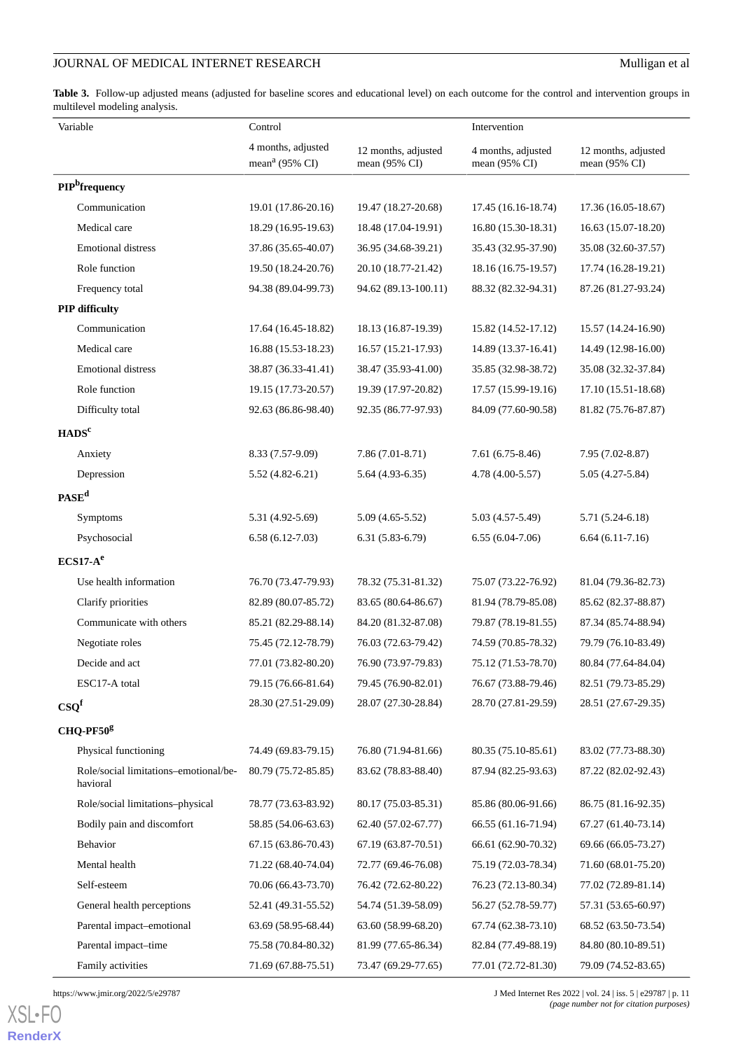<span id="page-10-0"></span>Table 3. Follow-up adjusted means (adjusted for baseline scores and educational level) on each outcome for the control and intervention groups in multilevel modeling analysis.

| Variable                                                      | Control                                                       |                                            | Intervention                               |                                      |  |
|---------------------------------------------------------------|---------------------------------------------------------------|--------------------------------------------|--------------------------------------------|--------------------------------------|--|
|                                                               | 4 months, adjusted<br>mean <sup><math>a</math></sup> (95% CI) | 12 months, adjusted<br>mean (95% CI)       | 4 months, adjusted<br>mean (95% CI)        | 12 months, adjusted<br>mean (95% CI) |  |
| PIP <sup>b</sup> frequency                                    |                                                               |                                            |                                            |                                      |  |
| Communication                                                 | 19.01 (17.86-20.16)                                           | 19.47 (18.27-20.68)                        | 17.45 (16.16-18.74)                        | 17.36 (16.05-18.67)                  |  |
| Medical care                                                  | 18.29 (16.95-19.63)                                           | 18.48 (17.04-19.91)                        | 16.80 (15.30-18.31)                        | 16.63 (15.07-18.20)                  |  |
| <b>Emotional distress</b>                                     | 37.86 (35.65-40.07)                                           | 36.95 (34.68-39.21)                        | 35.43 (32.95-37.90)                        | 35.08 (32.60-37.57)                  |  |
| Role function                                                 | 19.50 (18.24-20.76)                                           | 20.10 (18.77-21.42)                        | 18.16 (16.75-19.57)                        | 17.74 (16.28-19.21)                  |  |
| Frequency total                                               | 94.38 (89.04-99.73)                                           | 94.62 (89.13-100.11)                       | 88.32 (82.32-94.31)                        | 87.26 (81.27-93.24)                  |  |
| PIP difficulty                                                |                                                               |                                            |                                            |                                      |  |
| Communication                                                 | 17.64 (16.45-18.82)                                           | 18.13 (16.87-19.39)                        | 15.82 (14.52-17.12)                        | 15.57 (14.24-16.90)                  |  |
| Medical care                                                  | 16.88 (15.53-18.23)                                           | 16.57 (15.21-17.93)                        | 14.89 (13.37-16.41)                        | 14.49 (12.98-16.00)                  |  |
| <b>Emotional distress</b>                                     | 38.87 (36.33-41.41)                                           | 38.47 (35.93-41.00)                        | 35.85 (32.98-38.72)                        | 35.08 (32.32-37.84)                  |  |
| Role function                                                 | 19.15 (17.73-20.57)                                           | 19.39 (17.97-20.82)                        | 17.57 (15.99-19.16)                        | 17.10 (15.51-18.68)                  |  |
| Difficulty total                                              | 92.63 (86.86-98.40)                                           | 92.35 (86.77-97.93)                        | 84.09 (77.60-90.58)                        | 81.82 (75.76-87.87)                  |  |
| HADS <sup>c</sup>                                             |                                                               |                                            |                                            |                                      |  |
| Anxiety                                                       | 8.33 (7.57-9.09)                                              | $7.86(7.01-8.71)$                          | $7.61(6.75-8.46)$                          | 7.95 (7.02-8.87)                     |  |
| Depression                                                    | $5.52(4.82-6.21)$                                             | $5.64(4.93-6.35)$                          | 4.78 (4.00-5.57)                           | $5.05(4.27-5.84)$                    |  |
| $PASE^d$                                                      |                                                               |                                            |                                            |                                      |  |
| <b>Symptoms</b>                                               | 5.31 (4.92-5.69)                                              | $5.09(4.65-5.52)$                          | 5.03 (4.57-5.49)                           | $5.71(5.24-6.18)$                    |  |
| Psychosocial                                                  | $6.58(6.12-7.03)$                                             | $6.31(5.83-6.79)$                          | $6.55(6.04-7.06)$                          | $6.64(6.11-7.16)$                    |  |
| $ECS17-Ae$                                                    |                                                               |                                            |                                            |                                      |  |
| Use health information                                        | 76.70 (73.47-79.93)                                           | 78.32 (75.31-81.32)                        | 75.07 (73.22-76.92)                        | 81.04 (79.36-82.73)                  |  |
| Clarify priorities                                            | 82.89 (80.07-85.72)                                           | 83.65 (80.64-86.67)                        | 81.94 (78.79-85.08)                        | 85.62 (82.37-88.87)                  |  |
| Communicate with others                                       | 85.21 (82.29-88.14)                                           | 84.20 (81.32-87.08)                        | 79.87 (78.19-81.55)                        | 87.34 (85.74-88.94)                  |  |
| Negotiate roles                                               | 75.45 (72.12-78.79)                                           | 76.03 (72.63-79.42)                        | 74.59 (70.85-78.32)                        | 79.79 (76.10-83.49)                  |  |
| Decide and act                                                | 77.01 (73.82-80.20)                                           | 76.90 (73.97-79.83)                        | 75.12 (71.53-78.70)                        | 80.84 (77.64-84.04)                  |  |
| ESC17-A total                                                 | 79.15 (76.66-81.64)                                           | 79.45 (76.90-82.01)                        | 76.67 (73.88-79.46)                        | 82.51 (79.73-85.29)                  |  |
| $\mathbf{CSQ}^f$                                              | 28.30 (27.51-29.09)                                           | 28.07 (27.30-28.84)                        | 28.70 (27.81-29.59)                        | 28.51 (27.67-29.35)                  |  |
| CHQ-PF50g                                                     |                                                               |                                            |                                            |                                      |  |
|                                                               |                                                               |                                            |                                            | 83.02 (77.73-88.30)                  |  |
| Physical functioning<br>Role/social limitations-emotional/be- | 74.49 (69.83-79.15)<br>80.79 (75.72-85.85)                    | 76.80 (71.94-81.66)<br>83.62 (78.83-88.40) | 80.35 (75.10-85.61)<br>87.94 (82.25-93.63) | 87.22 (82.02-92.43)                  |  |
| havioral                                                      |                                                               |                                            |                                            |                                      |  |
| Role/social limitations-physical                              | 78.77 (73.63-83.92)                                           | 80.17 (75.03-85.31)                        | 85.86 (80.06-91.66)                        | 86.75 (81.16-92.35)                  |  |
| Bodily pain and discomfort                                    | 58.85 (54.06-63.63)                                           | 62.40 (57.02-67.77)                        | 66.55 (61.16-71.94)                        | 67.27 (61.40-73.14)                  |  |
| Behavior                                                      | 67.15 (63.86-70.43)                                           | 67.19 (63.87-70.51)                        | 66.61 (62.90-70.32)                        | 69.66 (66.05-73.27)                  |  |
| Mental health                                                 | 71.22 (68.40-74.04)                                           | 72.77 (69.46-76.08)                        | 75.19 (72.03-78.34)                        | 71.60 (68.01-75.20)                  |  |
| Self-esteem                                                   | 70.06 (66.43-73.70)                                           | 76.42 (72.62-80.22)                        | 76.23 (72.13-80.34)                        | 77.02 (72.89-81.14)                  |  |
| General health perceptions                                    | 52.41 (49.31-55.52)                                           | 54.74 (51.39-58.09)                        | 56.27 (52.78-59.77)                        | 57.31 (53.65-60.97)                  |  |
| Parental impact-emotional                                     | 63.69 (58.95-68.44)                                           | 63.60 (58.99-68.20)                        | 67.74 (62.38-73.10)                        | 68.52 (63.50-73.54)                  |  |
| Parental impact-time                                          | 75.58 (70.84-80.32)                                           | 81.99 (77.65-86.34)                        | 82.84 (77.49-88.19)                        | 84.80 (80.10-89.51)                  |  |
| Family activities                                             | 71.69 (67.88-75.51)                                           | 73.47 (69.29-77.65)                        | 77.01 (72.72-81.30)                        | 79.09 (74.52-83.65)                  |  |

https://www.jmir.org/2022/5/e29787 J Med Internet Res 2022 | vol. 24 | iss. 5 | e29787 | p. 11 *(page number not for citation purposes)*

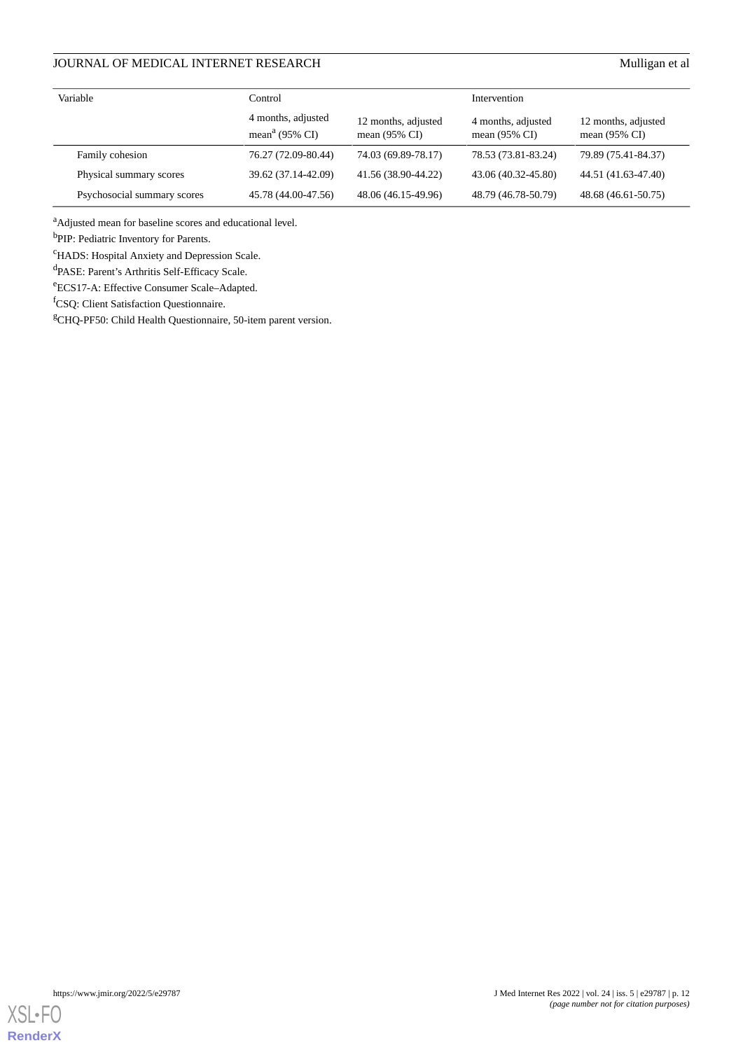| Variable                    | Control                                          |                                                 | Intervention                                   |                                                 |  |
|-----------------------------|--------------------------------------------------|-------------------------------------------------|------------------------------------------------|-------------------------------------------------|--|
|                             | 4 months, adjusted<br>mean <sup>a</sup> (95% CI) | 12 months, adjusted<br>mean $(95\% \text{ CI})$ | 4 months, adjusted<br>mean $(95\% \text{ CI})$ | 12 months, adjusted<br>mean $(95\% \text{ CI})$ |  |
| Family cohesion             | 76.27 (72.09-80.44)                              | 74.03 (69.89-78.17)                             | 78.53 (73.81-83.24)                            | 79.89 (75.41-84.37)                             |  |
| Physical summary scores     | 39.62 (37.14-42.09)                              | 41.56 (38.90-44.22)                             | 43.06 (40.32-45.80)                            | 44.51 (41.63-47.40)                             |  |
| Psychosocial summary scores | 45.78 (44.00-47.56)                              | 48.06 (46.15-49.96)                             | 48.79 (46.78-50.79)                            | 48.68 (46.61-50.75)                             |  |

<sup>a</sup>Adjusted mean for baseline scores and educational level.

<sup>b</sup>PIP: Pediatric Inventory for Parents.

<sup>c</sup>HADS: Hospital Anxiety and Depression Scale.

d PASE: Parent's Arthritis Self-Efficacy Scale.

<sup>e</sup>ECS17-A: Effective Consumer Scale–Adapted.

<sup>f</sup>CSQ: Client Satisfaction Questionnaire.

<sup>g</sup>CHQ-PF50: Child Health Questionnaire, 50-item parent version.

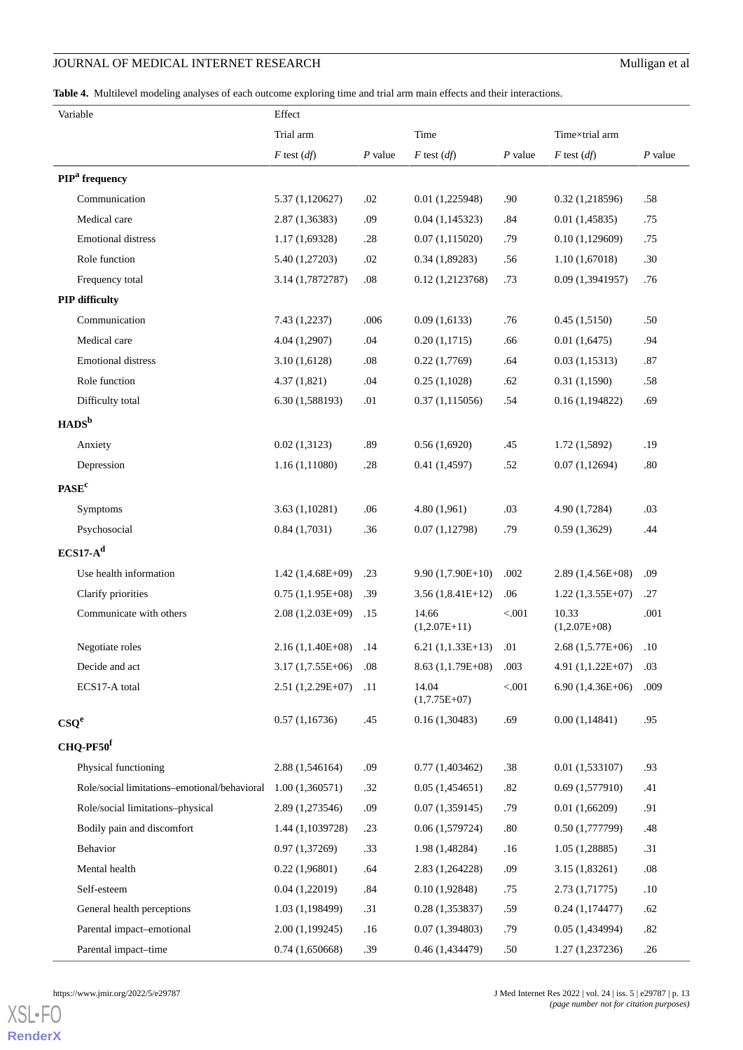<span id="page-12-0"></span>**Table 4.** Multilevel modeling analyses of each outcome exploring time and trial arm main effects and their interactions.

| Variable                                     | Effect              |           |                         |           |                         |           |
|----------------------------------------------|---------------------|-----------|-------------------------|-----------|-------------------------|-----------|
|                                              | Trial arm           |           | Time                    |           | Time×trial arm          |           |
|                                              | $F$ test $(df)$     | $P$ value | $F$ test $(df)$         | $P$ value | $F$ test $(df)$         | $P$ value |
| PIP <sup>a</sup> frequency                   |                     |           |                         |           |                         |           |
| Communication                                | 5.37 (1,120627)     | .02       | 0.01(1,225948)          | .90       | 0.32(1,218596)          | .58       |
| Medical care                                 | 2.87(1,36383)       | .09       | 0.04(1,145323)          | .84       | 0.01(1,45835)           | .75       |
| <b>Emotional distress</b>                    | 1.17(1,69328)       | .28       | 0.07(1,115020)          | .79       | 0.10(1,129609)          | .75       |
| Role function                                | 5.40 (1,27203)      | .02       | 0.34(1,89283)           | .56       | 1.10(1,67018)           | .30       |
| Frequency total                              | 3.14 (1,7872787)    | $.08\,$   | 0.12(1,2123768)         | .73       | 0.09(1,3941957)         | .76       |
| PIP difficulty                               |                     |           |                         |           |                         |           |
| Communication                                | 7.43 (1,2237)       | .006      | 0.09(1,6133)            | .76       | 0.45(1,5150)            | .50       |
| Medical care                                 | 4.04 (1,2907)       | .04       | 0.20(1,1715)            | .66       | 0.01(1,6475)            | .94       |
| <b>Emotional distress</b>                    | 3.10(1,6128)        | .08       | 0.22(1,7769)            | .64       | 0.03(1,15313)           | .87       |
| Role function                                | 4.37(1,821)         | .04       | 0.25(1,1028)            | .62       | 0.31(1,1590)            | .58       |
| Difficulty total                             | 6.30 (1,588193)     | .01       | 0.37(1,115056)          | .54       | 0.16(1,194822)          | .69       |
| HADS <sup>b</sup>                            |                     |           |                         |           |                         |           |
| Anxiety                                      | 0.02(1,3123)        | .89       | 0.56(1,6920)            | .45       | 1.72(1,5892)            | .19       |
| Depression                                   | 1.16(1,11080)       | .28       | 0.41(1,4597)            | .52       | 0.07(1,12694)           | .80       |
| $PASE^c$                                     |                     |           |                         |           |                         |           |
| <b>Symptoms</b>                              | 3.63(1,10281)       | .06       | 4.80(1,961)             | .03       | 4.90 (1,7284)           | .03       |
| Psychosocial                                 | 0.84(1,7031)        | .36       | 0.07(1,12798)           | .79       | 0.59(1,3629)            | .44       |
| $ECS17-Ad$                                   |                     |           |                         |           |                         |           |
| Use health information                       | $1.42(1,4.68E+09)$  | .23       | $9.90(1,7.90E+10)$      | .002      | $2.89(1,4.56E+08)$      | .09       |
| Clarify priorities                           | $0.75(1,1.95E+08)$  | .39       | $3.56(1,8.41E+12)$      | .06       | $1.22(1,3.55E+07)$      | .27       |
| Communicate with others                      | $2.08(1,2.03E+09)$  | .15       | 14.66<br>$(1,2.07E+11)$ | < 0.001   | 10.33<br>$(1,2.07E+08)$ | .001      |
| Negotiate roles                              | $2.16(1, 1.40E+08)$ | .14       | $6.21(1,1.33E+13)$      | .01       | $2.68(1,5.77E+06)$      | .10       |
| Decide and act                               | $3.17(1,7.55E+06)$  | $.08\,$   | 8.63 (1,1.79E+08) .003  |           | 4.91 (1,1.22E+07)       | .03       |
| ECS17-A total                                | 2.51 (1,2.29E+07)   | .11       | 14.04<br>$(1,7.75E+07)$ | < .001    | $6.90(1,4.36E+06)$      | .009      |
| $\mathbf{CSQ}^e$                             | 0.57(1,16736)       | .45       | 0.16(1,30483)           | .69       | 0.00(1,14841)           | .95       |
| CHQ-PF50 <sup>f</sup>                        |                     |           |                         |           |                         |           |
| Physical functioning                         | 2.88 (1,546164)     | .09       | 0.77(1,403462)          | .38       | 0.01(1,533107)          | .93       |
| Role/social limitations-emotional/behavioral | 1.00(1,360571)      | .32       | 0.05(1,454651)          | .82       | 0.69(1,577910)          | .41       |
| Role/social limitations-physical             | 2.89 (1,273546)     | .09       | 0.07(1,359145)          | .79       | 0.01(1,66209)           | .91       |
| Bodily pain and discomfort                   | 1.44 (1,1039728)    | .23       | 0.06(1,579724)          | .80       | 0.50(1,777799)          | .48       |
| Behavior                                     | 0.97(1,37269)       | .33       | 1.98 (1,48284)          | .16       | 1.05(1,28885)           | .31       |
| Mental health                                | 0.22(1,96801)       | .64       | 2.83 (1,264228)         | .09       | 3.15(1,83261)           | $.08\,$   |
| Self-esteem                                  | 0.04(1,22019)       | .84       | 0.10(1,92848)           | .75       | 2.73(1,71775)           | .10       |
| General health perceptions                   | 1.03 (1,198499)     | .31       | 0.28(1,353837)          | .59       | 0.24(1,174477)          | .62       |
| Parental impact-emotional                    | 2.00(1,199245)      | .16       | 0.07(1,394803)          | .79       | 0.05(1,434994)          | .82       |
| Parental impact-time                         | 0.74(1,650668)      | .39       | 0.46(1,434479)          | .50       | 1.27(1,237236)          | .26       |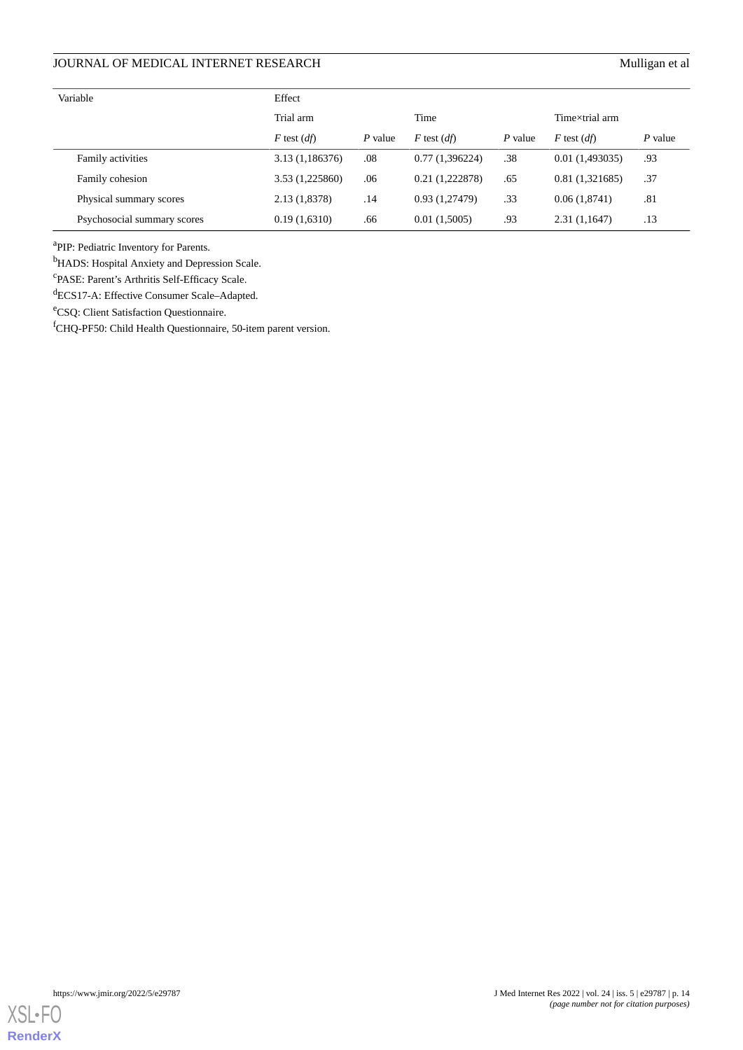| Variable                    | Effect          |         |                 |         |                 |         |
|-----------------------------|-----------------|---------|-----------------|---------|-----------------|---------|
|                             | Trial arm       |         | Time            |         | Timextrial arm  |         |
|                             | $F$ test $(df)$ | P value | $F$ test $(df)$ | P value | $F$ test $(df)$ | P value |
| Family activities           | 3.13 (1,186376) | .08     | 0.77(1,396224)  | .38     | 0.01(1,493035)  | .93     |
| Family cohesion             | 3.53 (1,225860) | .06     | 0.21(1,222878)  | .65     | 0.81(1,321685)  | .37     |
| Physical summary scores     | 2.13 (1,8378)   | .14     | 0.93(1,27479)   | .33     | 0.06(1,8741)    | .81     |
| Psychosocial summary scores | 0.19(1,6310)    | .66     | 0.01(1,5005)    | .93     | 2.31(1,1647)    | .13     |

<sup>a</sup>PIP: Pediatric Inventory for Parents.

<sup>b</sup>HADS: Hospital Anxiety and Depression Scale.

c PASE: Parent's Arthritis Self-Efficacy Scale.

<sup>d</sup>ECS17-A: Effective Consumer Scale–Adapted.

<sup>e</sup>CSQ: Client Satisfaction Questionnaire.

<sup>f</sup>CHQ-PF50: Child Health Questionnaire, 50-item parent version.

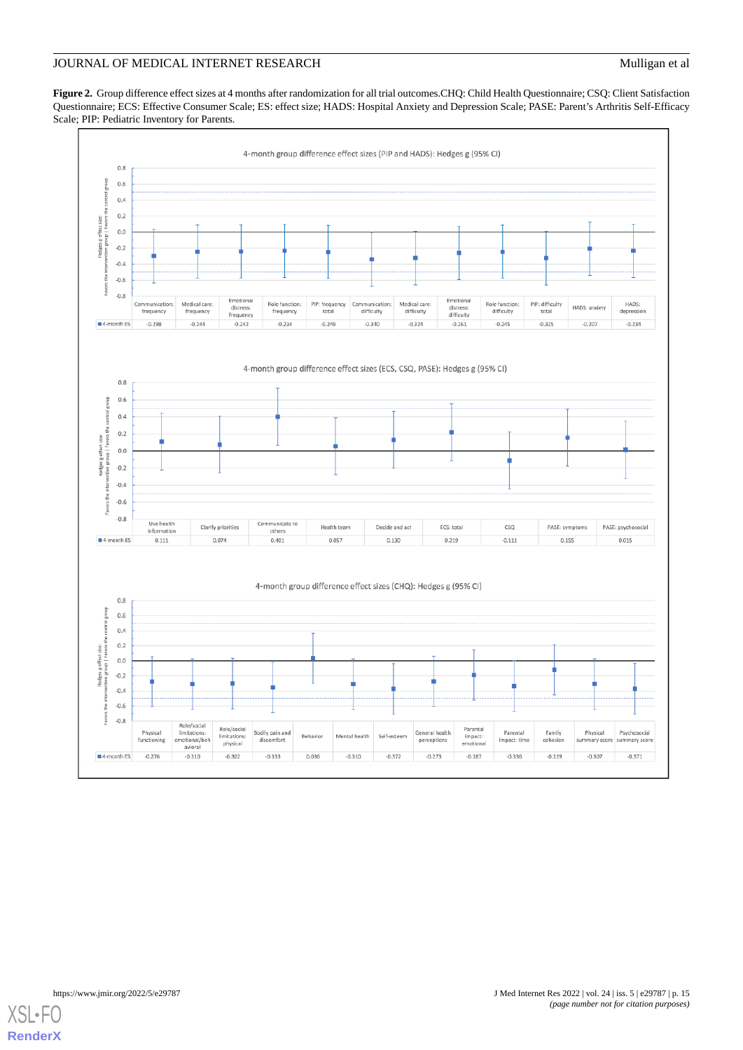<span id="page-14-0"></span>**Figure 2.** Group difference effect sizes at 4 months after randomization for all trial outcomes.CHQ: Child Health Questionnaire; CSQ: Client Satisfaction Questionnaire; ECS: Effective Consumer Scale; ES: effect size; HADS: Hospital Anxiety and Depression Scale; PASE: Parent's Arthritis Self-Efficacy Scale; PIP: Pediatric Inventory for Parents.



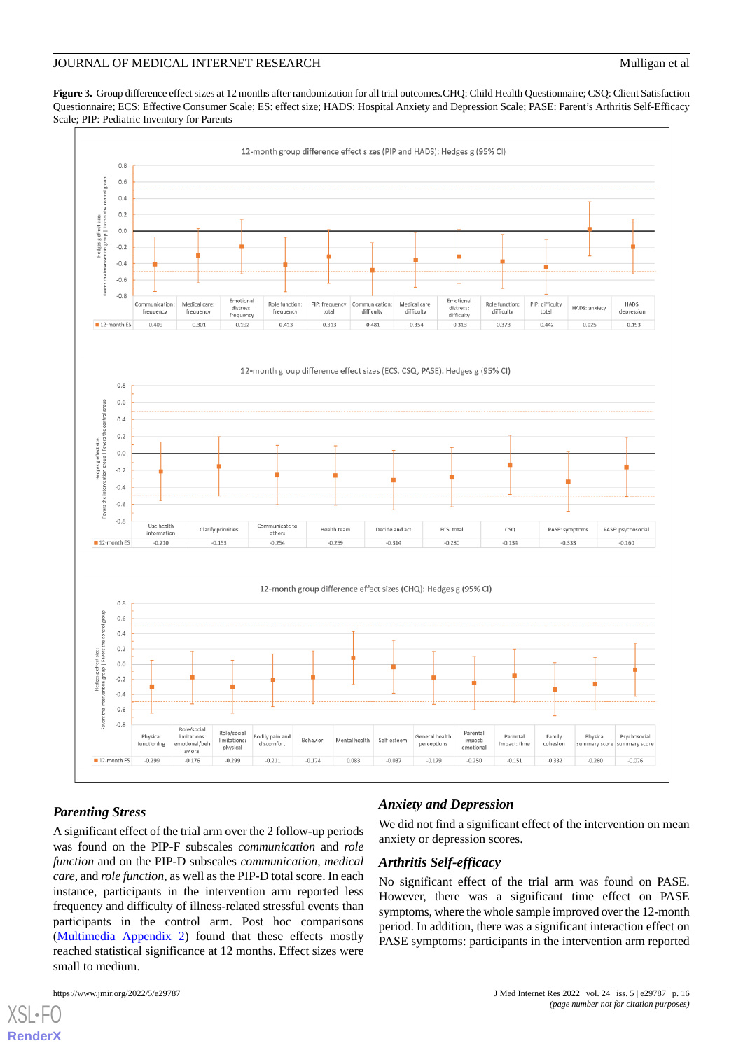<span id="page-15-0"></span>**Figure 3.** Group difference effect sizes at 12 months after randomization for all trial outcomes.CHQ: Child Health Questionnaire; CSQ: Client Satisfaction Questionnaire; ECS: Effective Consumer Scale; ES: effect size; HADS: Hospital Anxiety and Depression Scale; PASE: Parent's Arthritis Self-Efficacy Scale; PIP: Pediatric Inventory for Parents



### *Parenting Stress*

A significant effect of the trial arm over the 2 follow-up periods was found on the PIP-F subscales *communication* and *role function* and on the PIP-D subscales *communication*, *medical care*, and *role function*, as well as the PIP-D total score. In each instance, participants in the intervention arm reported less frequency and difficulty of illness-related stressful events than participants in the control arm. Post hoc comparisons ([Multimedia Appendix 2](#page-18-8)) found that these effects mostly reached statistical significance at 12 months. Effect sizes were small to medium.

### *Anxiety and Depression*

We did not find a significant effect of the intervention on mean anxiety or depression scores.

### *Arthritis Self-efficacy*

No significant effect of the trial arm was found on PASE. However, there was a significant time effect on PASE symptoms, where the whole sample improved over the 12-month period. In addition, there was a significant interaction effect on PASE symptoms: participants in the intervention arm reported

 $XS$  • F( **[RenderX](http://www.renderx.com/)**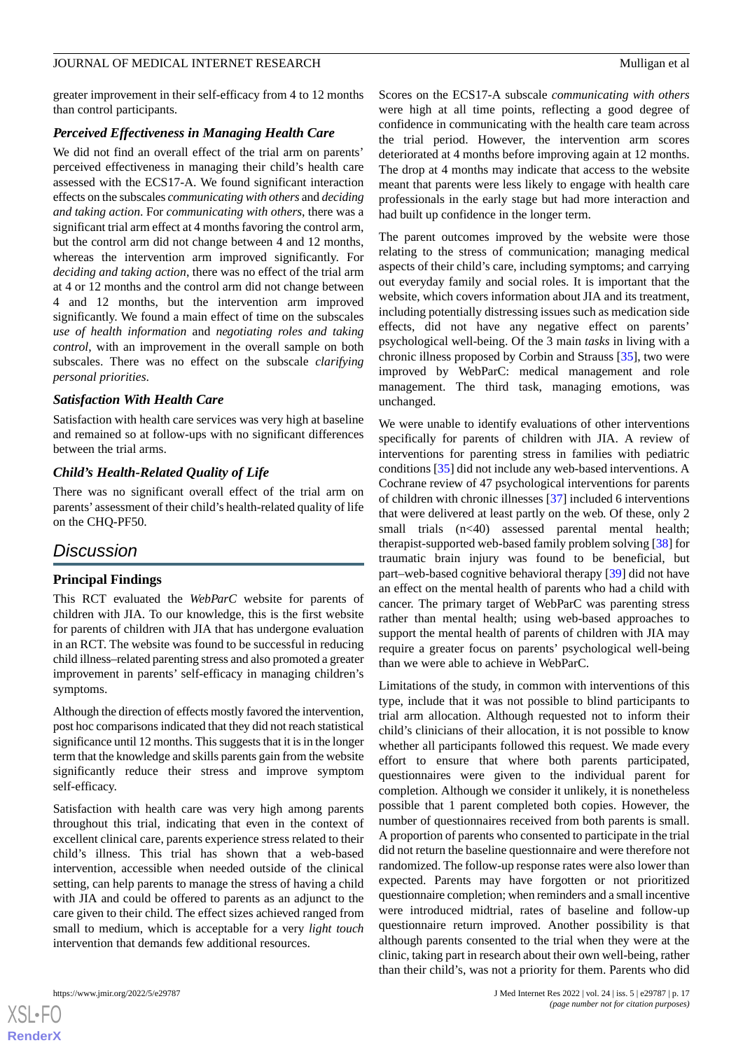greater improvement in their self-efficacy from 4 to 12 months than control participants.

### *Perceived Effectiveness in Managing Health Care*

We did not find an overall effect of the trial arm on parents' perceived effectiveness in managing their child's health care assessed with the ECS17-A. We found significant interaction effects on the subscales *communicating with others* and *deciding and taking action*. For *communicating with others*, there was a significant trial arm effect at 4 months favoring the control arm, but the control arm did not change between 4 and 12 months, whereas the intervention arm improved significantly. For *deciding and taking action*, there was no effect of the trial arm at 4 or 12 months and the control arm did not change between 4 and 12 months, but the intervention arm improved significantly. We found a main effect of time on the subscales *use of health information* and *negotiating roles and taking control*, with an improvement in the overall sample on both subscales. There was no effect on the subscale *clarifying personal priorities*.

### *Satisfaction With Health Care*

Satisfaction with health care services was very high at baseline and remained so at follow-ups with no significant differences between the trial arms.

### *Child's Health-Related Quality of Life*

There was no significant overall effect of the trial arm on parents' assessment of their child's health-related quality of life on the CHQ-PF50.

### *Discussion*

### **Principal Findings**

This RCT evaluated the *WebParC* website for parents of children with JIA. To our knowledge, this is the first website for parents of children with JIA that has undergone evaluation in an RCT. The website was found to be successful in reducing child illness–related parenting stress and also promoted a greater improvement in parents' self-efficacy in managing children's symptoms.

Although the direction of effects mostly favored the intervention, post hoc comparisons indicated that they did not reach statistical significance until 12 months. This suggests that it is in the longer term that the knowledge and skills parents gain from the website significantly reduce their stress and improve symptom self-efficacy.

Satisfaction with health care was very high among parents throughout this trial, indicating that even in the context of excellent clinical care, parents experience stress related to their child's illness. This trial has shown that a web-based intervention, accessible when needed outside of the clinical setting, can help parents to manage the stress of having a child with JIA and could be offered to parents as an adjunct to the care given to their child. The effect sizes achieved ranged from small to medium, which is acceptable for a very *light touch* intervention that demands few additional resources.

 $XS$ -FO **[RenderX](http://www.renderx.com/)**

Scores on the ECS17-A subscale *communicating with others* were high at all time points, reflecting a good degree of confidence in communicating with the health care team across the trial period. However, the intervention arm scores deteriorated at 4 months before improving again at 12 months. The drop at 4 months may indicate that access to the website meant that parents were less likely to engage with health care professionals in the early stage but had more interaction and had built up confidence in the longer term.

The parent outcomes improved by the website were those relating to the stress of communication; managing medical aspects of their child's care, including symptoms; and carrying out everyday family and social roles. It is important that the website, which covers information about JIA and its treatment, including potentially distressing issues such as medication side effects, did not have any negative effect on parents' psychological well-being. Of the 3 main *tasks* in living with a chronic illness proposed by Corbin and Strauss [[35\]](#page-19-23), two were improved by WebParC: medical management and role management. The third task, managing emotions, was unchanged.

We were unable to identify evaluations of other interventions specifically for parents of children with JIA. A review of interventions for parenting stress in families with pediatric conditions [[35\]](#page-19-23) did not include any web-based interventions. A Cochrane review of 47 psychological interventions for parents of children with chronic illnesses [\[37](#page-20-0)] included 6 interventions that were delivered at least partly on the web. Of these, only 2 small trials  $(n<40)$  assessed parental mental health; therapist-supported web-based family problem solving [[38\]](#page-20-1) for traumatic brain injury was found to be beneficial, but part–web-based cognitive behavioral therapy [\[39](#page-20-2)] did not have an effect on the mental health of parents who had a child with cancer. The primary target of WebParC was parenting stress rather than mental health; using web-based approaches to support the mental health of parents of children with JIA may require a greater focus on parents' psychological well-being than we were able to achieve in WebParC.

Limitations of the study, in common with interventions of this type, include that it was not possible to blind participants to trial arm allocation. Although requested not to inform their child's clinicians of their allocation, it is not possible to know whether all participants followed this request. We made every effort to ensure that where both parents participated, questionnaires were given to the individual parent for completion. Although we consider it unlikely, it is nonetheless possible that 1 parent completed both copies. However, the number of questionnaires received from both parents is small. A proportion of parents who consented to participate in the trial did not return the baseline questionnaire and were therefore not randomized. The follow-up response rates were also lower than expected. Parents may have forgotten or not prioritized questionnaire completion; when reminders and a small incentive were introduced midtrial, rates of baseline and follow-up questionnaire return improved. Another possibility is that although parents consented to the trial when they were at the clinic, taking part in research about their own well-being, rather than their child's, was not a priority for them. Parents who did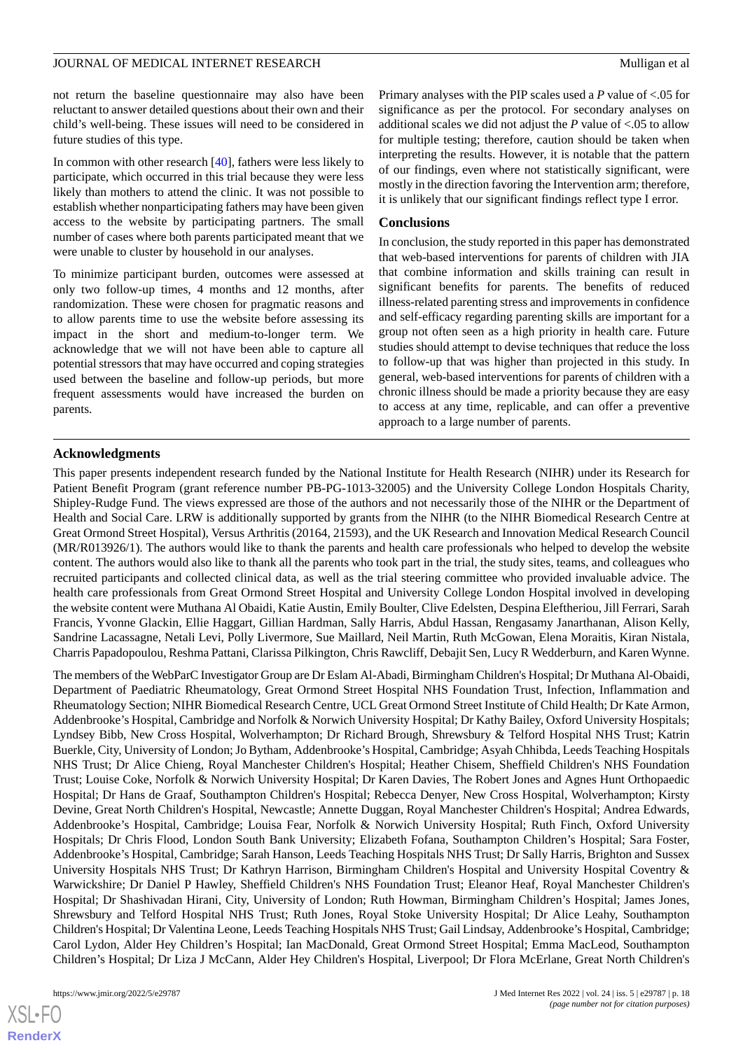not return the baseline questionnaire may also have been reluctant to answer detailed questions about their own and their child's well-being. These issues will need to be considered in future studies of this type.

In common with other research [\[40](#page-20-3)], fathers were less likely to participate, which occurred in this trial because they were less likely than mothers to attend the clinic. It was not possible to establish whether nonparticipating fathers may have been given access to the website by participating partners. The small number of cases where both parents participated meant that we were unable to cluster by household in our analyses.

To minimize participant burden, outcomes were assessed at only two follow-up times, 4 months and 12 months, after randomization. These were chosen for pragmatic reasons and to allow parents time to use the website before assessing its impact in the short and medium-to-longer term. We acknowledge that we will not have been able to capture all potential stressors that may have occurred and coping strategies used between the baseline and follow-up periods, but more frequent assessments would have increased the burden on parents.

Primary analyses with the PIP scales used a *P* value of <.05 for significance as per the protocol. For secondary analyses on additional scales we did not adjust the *P* value of <.05 to allow for multiple testing; therefore, caution should be taken when interpreting the results. However, it is notable that the pattern of our findings, even where not statistically significant, were mostly in the direction favoring the Intervention arm; therefore, it is unlikely that our significant findings reflect type I error.

### **Conclusions**

In conclusion, the study reported in this paper has demonstrated that web-based interventions for parents of children with JIA that combine information and skills training can result in significant benefits for parents. The benefits of reduced illness-related parenting stress and improvements in confidence and self-efficacy regarding parenting skills are important for a group not often seen as a high priority in health care. Future studies should attempt to devise techniques that reduce the loss to follow-up that was higher than projected in this study. In general, web-based interventions for parents of children with a chronic illness should be made a priority because they are easy to access at any time, replicable, and can offer a preventive approach to a large number of parents.

### **Acknowledgments**

This paper presents independent research funded by the National Institute for Health Research (NIHR) under its Research for Patient Benefit Program (grant reference number PB-PG-1013-32005) and the University College London Hospitals Charity, Shipley-Rudge Fund. The views expressed are those of the authors and not necessarily those of the NIHR or the Department of Health and Social Care. LRW is additionally supported by grants from the NIHR (to the NIHR Biomedical Research Centre at Great Ormond Street Hospital), Versus Arthritis (20164, 21593), and the UK Research and Innovation Medical Research Council (MR/R013926/1). The authors would like to thank the parents and health care professionals who helped to develop the website content. The authors would also like to thank all the parents who took part in the trial, the study sites, teams, and colleagues who recruited participants and collected clinical data, as well as the trial steering committee who provided invaluable advice. The health care professionals from Great Ormond Street Hospital and University College London Hospital involved in developing the website content were Muthana Al Obaidi, Katie Austin, Emily Boulter, Clive Edelsten, Despina Eleftheriou, Jill Ferrari, Sarah Francis, Yvonne Glackin, Ellie Haggart, Gillian Hardman, Sally Harris, Abdul Hassan, Rengasamy Janarthanan, Alison Kelly, Sandrine Lacassagne, Netali Levi, Polly Livermore, Sue Maillard, Neil Martin, Ruth McGowan, Elena Moraitis, Kiran Nistala, Charris Papadopoulou, Reshma Pattani, Clarissa Pilkington, Chris Rawcliff, Debajit Sen, Lucy R Wedderburn, and Karen Wynne.

The members of the WebParC Investigator Group are Dr Eslam Al-Abadi, Birmingham Children's Hospital; Dr Muthana Al-Obaidi, Department of Paediatric Rheumatology, Great Ormond Street Hospital NHS Foundation Trust, Infection, Inflammation and Rheumatology Section; NIHR Biomedical Research Centre, UCL Great Ormond Street Institute of Child Health; Dr Kate Armon, Addenbrooke's Hospital, Cambridge and Norfolk & Norwich University Hospital; Dr Kathy Bailey, Oxford University Hospitals; Lyndsey Bibb, New Cross Hospital, Wolverhampton; Dr Richard Brough, Shrewsbury & Telford Hospital NHS Trust; Katrin Buerkle, City, University of London; Jo Bytham, Addenbrooke's Hospital, Cambridge; Asyah Chhibda, Leeds Teaching Hospitals NHS Trust; Dr Alice Chieng, Royal Manchester Children's Hospital; Heather Chisem, Sheffield Children's NHS Foundation Trust; Louise Coke, Norfolk & Norwich University Hospital; Dr Karen Davies, The Robert Jones and Agnes Hunt Orthopaedic Hospital; Dr Hans de Graaf, Southampton Children's Hospital; Rebecca Denyer, New Cross Hospital, Wolverhampton; Kirsty Devine, Great North Children's Hospital, Newcastle; Annette Duggan, Royal Manchester Children's Hospital; Andrea Edwards, Addenbrooke's Hospital, Cambridge; Louisa Fear, Norfolk & Norwich University Hospital; Ruth Finch, Oxford University Hospitals; Dr Chris Flood, London South Bank University; Elizabeth Fofana, Southampton Children's Hospital; Sara Foster, Addenbrooke's Hospital, Cambridge; Sarah Hanson, Leeds Teaching Hospitals NHS Trust; Dr Sally Harris, Brighton and Sussex University Hospitals NHS Trust; Dr Kathryn Harrison, Birmingham Children's Hospital and University Hospital Coventry & Warwickshire; Dr Daniel P Hawley, Sheffield Children's NHS Foundation Trust; Eleanor Heaf, Royal Manchester Children's Hospital; Dr Shashivadan Hirani, City, University of London; Ruth Howman, Birmingham Children's Hospital; James Jones, Shrewsbury and Telford Hospital NHS Trust; Ruth Jones, Royal Stoke University Hospital; Dr Alice Leahy, Southampton Children's Hospital; Dr Valentina Leone, Leeds Teaching Hospitals NHS Trust; Gail Lindsay, Addenbrooke's Hospital, Cambridge; Carol Lydon, Alder Hey Children's Hospital; Ian MacDonald, Great Ormond Street Hospital; Emma MacLeod, Southampton Children's Hospital; Dr Liza J McCann, Alder Hey Children's Hospital, Liverpool; Dr Flora McErlane, Great North Children's

 $XSI - F($ **[RenderX](http://www.renderx.com/)**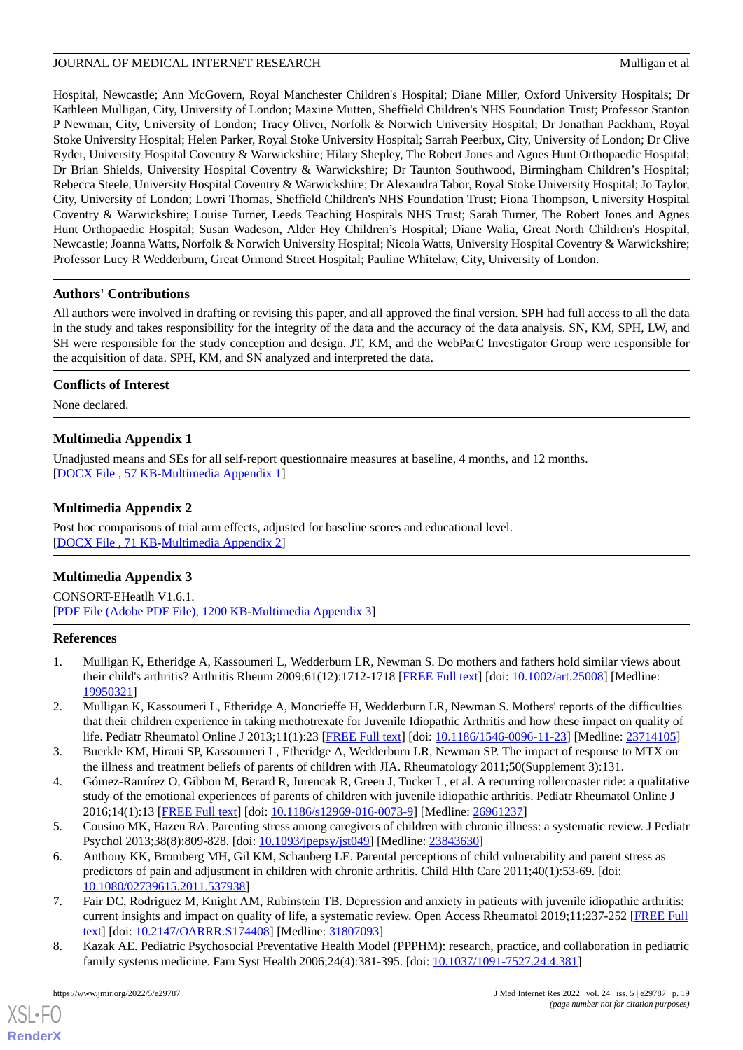Hospital, Newcastle; Ann McGovern, Royal Manchester Children's Hospital; Diane Miller, Oxford University Hospitals; Dr Kathleen Mulligan, City, University of London; Maxine Mutten, Sheffield Children's NHS Foundation Trust; Professor Stanton P Newman, City, University of London; Tracy Oliver, Norfolk & Norwich University Hospital; Dr Jonathan Packham, Royal Stoke University Hospital; Helen Parker, Royal Stoke University Hospital; Sarrah Peerbux, City, University of London; Dr Clive Ryder, University Hospital Coventry & Warwickshire; Hilary Shepley, The Robert Jones and Agnes Hunt Orthopaedic Hospital; Dr Brian Shields, University Hospital Coventry & Warwickshire; Dr Taunton Southwood, Birmingham Children's Hospital; Rebecca Steele, University Hospital Coventry & Warwickshire; Dr Alexandra Tabor, Royal Stoke University Hospital; Jo Taylor, City, University of London; Lowri Thomas, Sheffield Children's NHS Foundation Trust; Fiona Thompson, University Hospital Coventry & Warwickshire; Louise Turner, Leeds Teaching Hospitals NHS Trust; Sarah Turner, The Robert Jones and Agnes Hunt Orthopaedic Hospital; Susan Wadeson, Alder Hey Children's Hospital; Diane Walia, Great North Children's Hospital, Newcastle; Joanna Watts, Norfolk & Norwich University Hospital; Nicola Watts, University Hospital Coventry & Warwickshire; Professor Lucy R Wedderburn, Great Ormond Street Hospital; Pauline Whitelaw, City, University of London.

### **Authors' Contributions**

All authors were involved in drafting or revising this paper, and all approved the final version. SPH had full access to all the data in the study and takes responsibility for the integrity of the data and the accuracy of the data analysis. SN, KM, SPH, LW, and SH were responsible for the study conception and design. JT, KM, and the WebParC Investigator Group were responsible for the acquisition of data. SPH, KM, and SN analyzed and interpreted the data.

### **Conflicts of Interest**

<span id="page-18-7"></span>None declared.

### **Multimedia Appendix 1**

<span id="page-18-8"></span>Unadjusted means and SEs for all self-report questionnaire measures at baseline, 4 months, and 12 months. [[DOCX File , 57 KB](https://jmir.org/api/download?alt_name=jmir_v24i5e29787_app1.docx&filename=756a06494cea4465eb435ab10826e31f.docx)-[Multimedia Appendix 1\]](https://jmir.org/api/download?alt_name=jmir_v24i5e29787_app1.docx&filename=756a06494cea4465eb435ab10826e31f.docx)

### **Multimedia Appendix 2**

Post hoc comparisons of trial arm effects, adjusted for baseline scores and educational level. [[DOCX File , 71 KB](https://jmir.org/api/download?alt_name=jmir_v24i5e29787_app2.docx&filename=65e10f7edd78df1a231be5fabd351582.docx)-[Multimedia Appendix 2\]](https://jmir.org/api/download?alt_name=jmir_v24i5e29787_app2.docx&filename=65e10f7edd78df1a231be5fabd351582.docx)

### **Multimedia Appendix 3**

<span id="page-18-0"></span>CONSORT-EHeatlh V1.6.1. [[PDF File \(Adobe PDF File\), 1200 KB](https://jmir.org/api/download?alt_name=jmir_v24i5e29787_app3.pdf&filename=2c69523cff13f8d5e1e496641a9b2f04.pdf)-[Multimedia Appendix 3\]](https://jmir.org/api/download?alt_name=jmir_v24i5e29787_app3.pdf&filename=2c69523cff13f8d5e1e496641a9b2f04.pdf)

### **References**

- <span id="page-18-1"></span>1. Mulligan K, Etheridge A, Kassoumeri L, Wedderburn LR, Newman S. Do mothers and fathers hold similar views about their child's arthritis? Arthritis Rheum 2009;61(12):1712-1718 [[FREE Full text](https://doi.org/10.1002/art.25008)] [doi: [10.1002/art.25008\]](http://dx.doi.org/10.1002/art.25008) [Medline: [19950321](http://www.ncbi.nlm.nih.gov/entrez/query.fcgi?cmd=Retrieve&db=PubMed&list_uids=19950321&dopt=Abstract)]
- <span id="page-18-2"></span>2. Mulligan K, Kassoumeri L, Etheridge A, Moncrieffe H, Wedderburn LR, Newman S. Mothers' reports of the difficulties that their children experience in taking methotrexate for Juvenile Idiopathic Arthritis and how these impact on quality of life. Pediatr Rheumatol Online J 2013;11(1):23 [\[FREE Full text\]](https://ped-rheum.biomedcentral.com/articles/10.1186/1546-0096-11-23) [doi: [10.1186/1546-0096-11-23](http://dx.doi.org/10.1186/1546-0096-11-23)] [Medline: [23714105\]](http://www.ncbi.nlm.nih.gov/entrez/query.fcgi?cmd=Retrieve&db=PubMed&list_uids=23714105&dopt=Abstract)
- <span id="page-18-3"></span>3. Buerkle KM, Hirani SP, Kassoumeri L, Etheridge A, Wedderburn LR, Newman SP. The impact of response to MTX on the illness and treatment beliefs of parents of children with JIA. Rheumatology 2011;50(Supplement 3):131.
- <span id="page-18-4"></span>4. Gómez-Ramírez O, Gibbon M, Berard R, Jurencak R, Green J, Tucker L, et al. A recurring rollercoaster ride: a qualitative study of the emotional experiences of parents of children with juvenile idiopathic arthritis. Pediatr Rheumatol Online J 2016;14(1):13 [[FREE Full text\]](https://ped-rheum.biomedcentral.com/articles/10.1186/s12969-016-0073-9) [doi: [10.1186/s12969-016-0073-9](http://dx.doi.org/10.1186/s12969-016-0073-9)] [Medline: [26961237](http://www.ncbi.nlm.nih.gov/entrez/query.fcgi?cmd=Retrieve&db=PubMed&list_uids=26961237&dopt=Abstract)]
- <span id="page-18-5"></span>5. Cousino MK, Hazen RA. Parenting stress among caregivers of children with chronic illness: a systematic review. J Pediatr Psychol 2013;38(8):809-828. [doi: [10.1093/jpepsy/jst049](http://dx.doi.org/10.1093/jpepsy/jst049)] [Medline: [23843630](http://www.ncbi.nlm.nih.gov/entrez/query.fcgi?cmd=Retrieve&db=PubMed&list_uids=23843630&dopt=Abstract)]
- <span id="page-18-6"></span>6. Anthony KK, Bromberg MH, Gil KM, Schanberg LE. Parental perceptions of child vulnerability and parent stress as predictors of pain and adjustment in children with chronic arthritis. Child Hlth Care 2011;40(1):53-69. [doi: [10.1080/02739615.2011.537938\]](http://dx.doi.org/10.1080/02739615.2011.537938)
- 7. Fair DC, Rodriguez M, Knight AM, Rubinstein TB. Depression and anxiety in patients with juvenile idiopathic arthritis: current insights and impact on quality of life, a systematic review. Open Access Rheumatol 2019;11:237-252 [\[FREE Full](https://dx.doi.org/10.2147/OARRR.S174408) [text](https://dx.doi.org/10.2147/OARRR.S174408)] [doi: [10.2147/OARRR.S174408](http://dx.doi.org/10.2147/OARRR.S174408)] [Medline: [31807093\]](http://www.ncbi.nlm.nih.gov/entrez/query.fcgi?cmd=Retrieve&db=PubMed&list_uids=31807093&dopt=Abstract)
- 8. Kazak AE. Pediatric Psychosocial Preventative Health Model (PPPHM): research, practice, and collaboration in pediatric family systems medicine. Fam Syst Health 2006;24(4):381-395. [doi: [10.1037/1091-7527.24.4.381\]](http://dx.doi.org/10.1037/1091-7527.24.4.381)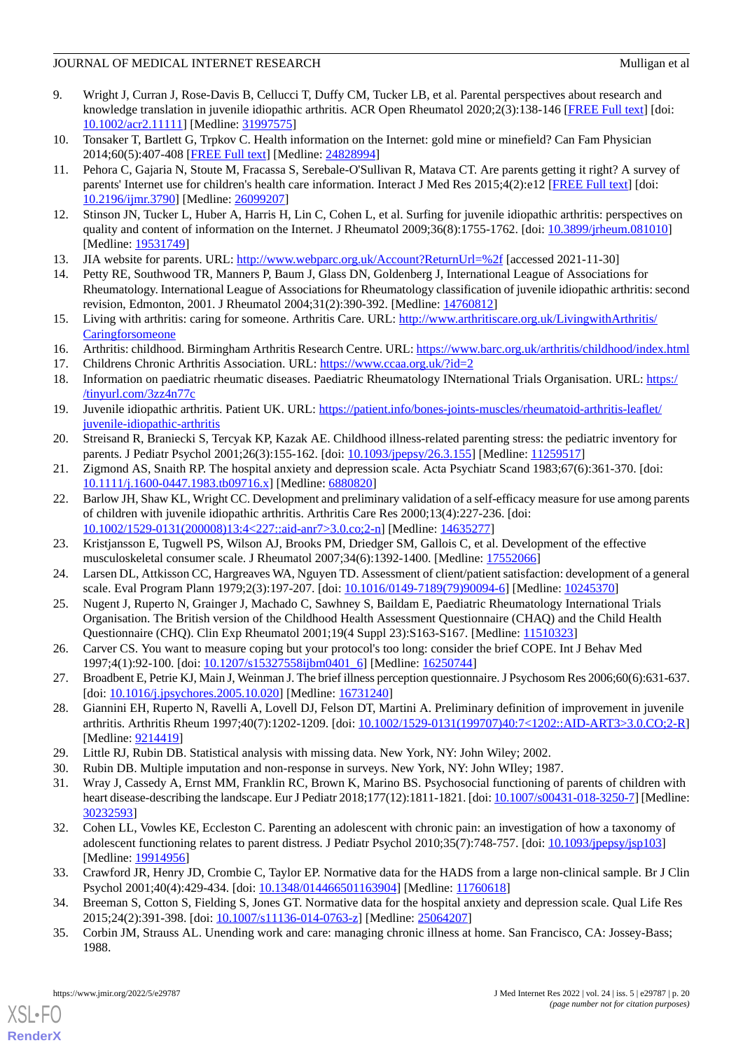- <span id="page-19-0"></span>9. Wright J, Curran J, Rose-Davis B, Cellucci T, Duffy CM, Tucker LB, et al. Parental perspectives about research and knowledge translation in juvenile idiopathic arthritis. ACR Open Rheumatol 2020;2(3):138-146 [\[FREE Full text\]](https://doi.org/10.1002/acr2.11111) [doi: [10.1002/acr2.11111](http://dx.doi.org/10.1002/acr2.11111)] [Medline: [31997575](http://www.ncbi.nlm.nih.gov/entrez/query.fcgi?cmd=Retrieve&db=PubMed&list_uids=31997575&dopt=Abstract)]
- <span id="page-19-2"></span><span id="page-19-1"></span>10. Tonsaker T, Bartlett G, Trpkov C. Health information on the Internet: gold mine or minefield? Can Fam Physician 2014;60(5):407-408 [[FREE Full text](http://www.cfp.ca/cgi/pmidlookup?view=long&pmid=24828994)] [Medline: [24828994](http://www.ncbi.nlm.nih.gov/entrez/query.fcgi?cmd=Retrieve&db=PubMed&list_uids=24828994&dopt=Abstract)]
- 11. Pehora C, Gajaria N, Stoute M, Fracassa S, Serebale-O'Sullivan R, Matava CT. Are parents getting it right? A survey of parents' Internet use for children's health care information. Interact J Med Res 2015;4(2):e12 [[FREE Full text](https://www.i-jmr.org/2015/2/e12/)] [doi: [10.2196/ijmr.3790](http://dx.doi.org/10.2196/ijmr.3790)] [Medline: [26099207](http://www.ncbi.nlm.nih.gov/entrez/query.fcgi?cmd=Retrieve&db=PubMed&list_uids=26099207&dopt=Abstract)]
- <span id="page-19-4"></span><span id="page-19-3"></span>12. Stinson JN, Tucker L, Huber A, Harris H, Lin C, Cohen L, et al. Surfing for juvenile idiopathic arthritis: perspectives on quality and content of information on the Internet. J Rheumatol 2009;36(8):1755-1762. [doi: [10.3899/jrheum.081010](http://dx.doi.org/10.3899/jrheum.081010)] [Medline: [19531749](http://www.ncbi.nlm.nih.gov/entrez/query.fcgi?cmd=Retrieve&db=PubMed&list_uids=19531749&dopt=Abstract)]
- <span id="page-19-5"></span>13. JIA website for parents. URL: <http://www.webparc.org.uk/Account?ReturnUrl=%2f> [accessed 2021-11-30]
- <span id="page-19-6"></span>14. Petty RE, Southwood TR, Manners P, Baum J, Glass DN, Goldenberg J, International League of Associations for Rheumatology. International League of Associations for Rheumatology classification of juvenile idiopathic arthritis: second revision, Edmonton, 2001. J Rheumatol 2004;31(2):390-392. [Medline: [14760812](http://www.ncbi.nlm.nih.gov/entrez/query.fcgi?cmd=Retrieve&db=PubMed&list_uids=14760812&dopt=Abstract)]
- 15. Living with arthritis: caring for someone. Arthritis Care. URL: [http://www.arthritiscare.org.uk/LivingwithArthritis/](http://www.arthritiscare.org.uk/LivingwithArthritis/Caringforsomeone) **[Caringforsomeone](http://www.arthritiscare.org.uk/LivingwithArthritis/Caringforsomeone)**
- 16. Arthritis: childhood. Birmingham Arthritis Research Centre. URL:<https://www.barc.org.uk/arthritis/childhood/index.html>
- <span id="page-19-7"></span>17. Childrens Chronic Arthritis Association. URL:<https://www.ccaa.org.uk/?id=2>
- 18. Information on paediatric rheumatic diseases. Paediatric Rheumatology INternational Trials Organisation. URL: [https:/](https://www.printo.it/pediatric-rheumatology/pediatricrheumatology/index.asp?Lingua=United%20Kingdom&Paese=United%Kingdom) [/tinyurl.com/3zz4n77c](https://www.printo.it/pediatric-rheumatology/pediatricrheumatology/index.asp?Lingua=United%20Kingdom&Paese=United%Kingdom)
- <span id="page-19-9"></span><span id="page-19-8"></span>19. Juvenile idiopathic arthritis. Patient UK. URL: [https://patient.info/bones-joints-muscles/rheumatoid-arthritis-leaflet/](https://patient.info/bones-joints-muscles/rheumatoid-arthritis-leaflet/juvenile-idiopathic-arthritis) [juvenile-idiopathic-arthritis](https://patient.info/bones-joints-muscles/rheumatoid-arthritis-leaflet/juvenile-idiopathic-arthritis)
- <span id="page-19-10"></span>20. Streisand R, Braniecki S, Tercyak KP, Kazak AE. Childhood illness-related parenting stress: the pediatric inventory for parents. J Pediatr Psychol 2001;26(3):155-162. [doi: [10.1093/jpepsy/26.3.155\]](http://dx.doi.org/10.1093/jpepsy/26.3.155) [Medline: [11259517\]](http://www.ncbi.nlm.nih.gov/entrez/query.fcgi?cmd=Retrieve&db=PubMed&list_uids=11259517&dopt=Abstract)
- 21. Zigmond AS, Snaith RP. The hospital anxiety and depression scale. Acta Psychiatr Scand 1983;67(6):361-370. [doi: [10.1111/j.1600-0447.1983.tb09716.x\]](http://dx.doi.org/10.1111/j.1600-0447.1983.tb09716.x) [Medline: [6880820](http://www.ncbi.nlm.nih.gov/entrez/query.fcgi?cmd=Retrieve&db=PubMed&list_uids=6880820&dopt=Abstract)]
- <span id="page-19-12"></span><span id="page-19-11"></span>22. Barlow JH, Shaw KL, Wright CC. Development and preliminary validation of a self-efficacy measure for use among parents of children with juvenile idiopathic arthritis. Arthritis Care Res 2000;13(4):227-236. [doi: [10.1002/1529-0131\(200008\)13:4<227::aid-anr7>3.0.co;2-n](http://dx.doi.org/10.1002/1529-0131(200008)13:4<227::aid-anr7>3.0.co;2-n)] [Medline: [14635277](http://www.ncbi.nlm.nih.gov/entrez/query.fcgi?cmd=Retrieve&db=PubMed&list_uids=14635277&dopt=Abstract)]
- <span id="page-19-13"></span>23. Kristjansson E, Tugwell PS, Wilson AJ, Brooks PM, Driedger SM, Gallois C, et al. Development of the effective musculoskeletal consumer scale. J Rheumatol 2007;34(6):1392-1400. [Medline: [17552066](http://www.ncbi.nlm.nih.gov/entrez/query.fcgi?cmd=Retrieve&db=PubMed&list_uids=17552066&dopt=Abstract)]
- <span id="page-19-14"></span>24. Larsen DL, Attkisson CC, Hargreaves WA, Nguyen TD. Assessment of client/patient satisfaction: development of a general scale. Eval Program Plann 1979;2(3):197-207. [doi: [10.1016/0149-7189\(79\)90094-6\]](http://dx.doi.org/10.1016/0149-7189(79)90094-6) [Medline: [10245370\]](http://www.ncbi.nlm.nih.gov/entrez/query.fcgi?cmd=Retrieve&db=PubMed&list_uids=10245370&dopt=Abstract)
- <span id="page-19-15"></span>25. Nugent J, Ruperto N, Grainger J, Machado C, Sawhney S, Baildam E, Paediatric Rheumatology International Trials Organisation. The British version of the Childhood Health Assessment Questionnaire (CHAQ) and the Child Health Questionnaire (CHQ). Clin Exp Rheumatol 2001;19(4 Suppl 23):S163-S167. [Medline: [11510323\]](http://www.ncbi.nlm.nih.gov/entrez/query.fcgi?cmd=Retrieve&db=PubMed&list_uids=11510323&dopt=Abstract)
- <span id="page-19-16"></span>26. Carver CS. You want to measure coping but your protocol's too long: consider the brief COPE. Int J Behav Med 1997;4(1):92-100. [doi: [10.1207/s15327558ijbm0401\\_6\]](http://dx.doi.org/10.1207/s15327558ijbm0401_6) [Medline: [16250744\]](http://www.ncbi.nlm.nih.gov/entrez/query.fcgi?cmd=Retrieve&db=PubMed&list_uids=16250744&dopt=Abstract)
- <span id="page-19-18"></span><span id="page-19-17"></span>27. Broadbent E, Petrie KJ, Main J, Weinman J. The brief illness perception questionnaire. J Psychosom Res 2006;60(6):631-637. [doi: [10.1016/j.jpsychores.2005.10.020\]](http://dx.doi.org/10.1016/j.jpsychores.2005.10.020) [Medline: [16731240\]](http://www.ncbi.nlm.nih.gov/entrez/query.fcgi?cmd=Retrieve&db=PubMed&list_uids=16731240&dopt=Abstract)
- <span id="page-19-19"></span>28. Giannini EH, Ruperto N, Ravelli A, Lovell DJ, Felson DT, Martini A. Preliminary definition of improvement in juvenile arthritis. Arthritis Rheum 1997;40(7):1202-1209. [doi: [10.1002/1529-0131\(199707\)40:7<1202::AID-ART3>3.0.CO;2-R](http://dx.doi.org/10.1002/1529-0131(199707)40:7<1202::AID-ART3>3.0.CO;2-R)] [Medline: [9214419\]](http://www.ncbi.nlm.nih.gov/entrez/query.fcgi?cmd=Retrieve&db=PubMed&list_uids=9214419&dopt=Abstract)
- <span id="page-19-20"></span>29. Little RJ, Rubin DB. Statistical analysis with missing data. New York, NY: John Wiley; 2002.
- 30. Rubin DB. Multiple imputation and non-response in surveys. New York, NY: John WIley; 1987.
- <span id="page-19-21"></span>31. Wray J, Cassedy A, Ernst MM, Franklin RC, Brown K, Marino BS. Psychosocial functioning of parents of children with heart disease-describing the landscape. Eur J Pediatr 2018;177(12):1811-1821. [doi: [10.1007/s00431-018-3250-7\]](http://dx.doi.org/10.1007/s00431-018-3250-7) [Medline: [30232593](http://www.ncbi.nlm.nih.gov/entrez/query.fcgi?cmd=Retrieve&db=PubMed&list_uids=30232593&dopt=Abstract)]
- <span id="page-19-23"></span><span id="page-19-22"></span>32. Cohen LL, Vowles KE, Eccleston C. Parenting an adolescent with chronic pain: an investigation of how a taxonomy of adolescent functioning relates to parent distress. J Pediatr Psychol 2010;35(7):748-757. [doi: [10.1093/jpepsy/jsp103](http://dx.doi.org/10.1093/jpepsy/jsp103)] [Medline: [19914956](http://www.ncbi.nlm.nih.gov/entrez/query.fcgi?cmd=Retrieve&db=PubMed&list_uids=19914956&dopt=Abstract)]
- 33. Crawford JR, Henry JD, Crombie C, Taylor EP. Normative data for the HADS from a large non-clinical sample. Br J Clin Psychol 2001;40(4):429-434. [doi: [10.1348/014466501163904\]](http://dx.doi.org/10.1348/014466501163904) [Medline: [11760618\]](http://www.ncbi.nlm.nih.gov/entrez/query.fcgi?cmd=Retrieve&db=PubMed&list_uids=11760618&dopt=Abstract)
- 34. Breeman S, Cotton S, Fielding S, Jones GT. Normative data for the hospital anxiety and depression scale. Qual Life Res 2015;24(2):391-398. [doi: [10.1007/s11136-014-0763-z](http://dx.doi.org/10.1007/s11136-014-0763-z)] [Medline: [25064207\]](http://www.ncbi.nlm.nih.gov/entrez/query.fcgi?cmd=Retrieve&db=PubMed&list_uids=25064207&dopt=Abstract)
- 35. Corbin JM, Strauss AL. Unending work and care: managing chronic illness at home. San Francisco, CA: Jossey-Bass; 1988.